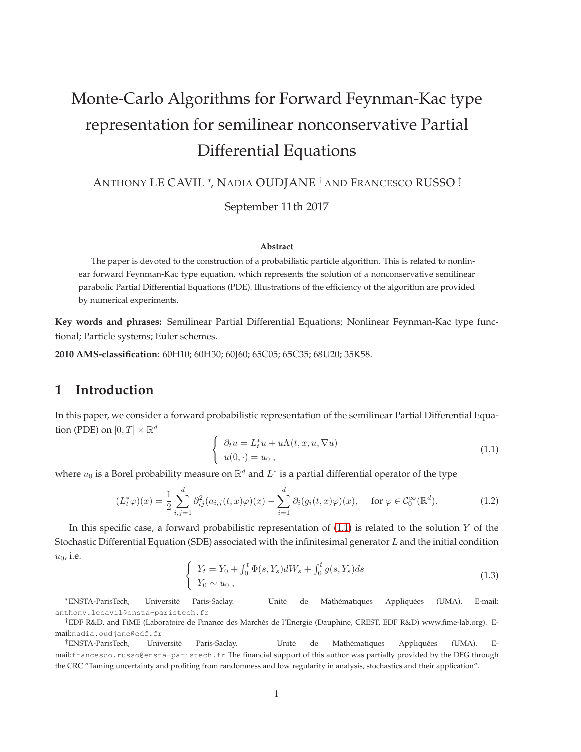# Monte-Carlo Algorithms for Forward Feynman-Kac type representation for semilinear nonconservative Partial Differential Equations

ANTHONY LE CAVIL <sup>∗</sup> , NADIA OUDJANE † AND FRANCESCO RUSSO ‡ .

September 11th 2017

#### **Abstract**

The paper is devoted to the construction of a probabilistic particle algorithm. This is related to nonlinear forward Feynman-Kac type equation, which represents the solution of a nonconservative semilinear parabolic Partial Differential Equations (PDE). Illustrations of the efficiency of the algorithm are provided by numerical experiments.

**Key words and phrases:** Semilinear Partial Differential Equations; Nonlinear Feynman-Kac type functional; Particle systems; Euler schemes.

**2010 AMS-classification**: 60H10; 60H30; 60J60; 65C05; 65C35; 68U20; 35K58.

## **1 Introduction**

In this paper, we consider a forward probabilistic representation of the semilinear Partial Differential Equation (PDE) on  $[0,T] \times \mathbb{R}^d$ 

<span id="page-0-0"></span>
$$
\begin{cases}\n\partial_t u = L_t^* u + u \Lambda(t, x, u, \nabla u) \\
u(0, \cdot) = u_0,\n\end{cases}
$$
\n(1.1)

where  $u_0$  is a Borel probability measure on  $\mathbb{R}^d$  and  $L^*$  is a partial differential operator of the type

<span id="page-0-2"></span>
$$
(L_t^*\varphi)(x) = \frac{1}{2} \sum_{i,j=1}^d \partial_{ij}^2 (a_{i,j}(t,x)\varphi)(x) - \sum_{i=1}^d \partial_i (g_i(t,x)\varphi)(x), \quad \text{ for } \varphi \in \mathcal{C}_0^{\infty}(\mathbb{R}^d). \tag{1.2}
$$

In this specific case, a forward probabilistic representation of  $(1.1)$  is related to the solution Y of the Stochastic Differential Equation (SDE) associated with the infinitesimal generator  $L$  and the initial condition  $u_0$ , i.e.

<span id="page-0-1"></span>
$$
\begin{cases}\nY_t = Y_0 + \int_0^t \Phi(s, Y_s) dW_s + \int_0^t g(s, Y_s) ds \\
Y_0 \sim u_0,\n\end{cases} \n(1.3)
$$

<sup>∗</sup>ENSTA-ParisTech, Université Paris-Saclay. Unité de Mathématiques Appliquées (UMA). E-mail: anthony.lecavil@ensta-paristech.fr

<sup>†</sup>EDF R&D, and FiME (Laboratoire de Finance des Marchés de l'Energie (Dauphine, CREST, EDF R&D) www.fime-lab.org). Email:nadia.oudjane@edf.fr

<sup>‡</sup>ENSTA-ParisTech, Université Paris-Saclay. Unité de Mathématiques Appliquées (UMA). Email:francesco.russo@ensta-paristech.fr The financial support of this author was partially provided by the DFG through the CRC "Taming uncertainty and profiting from randomness and low regularity in analysis, stochastics and their application".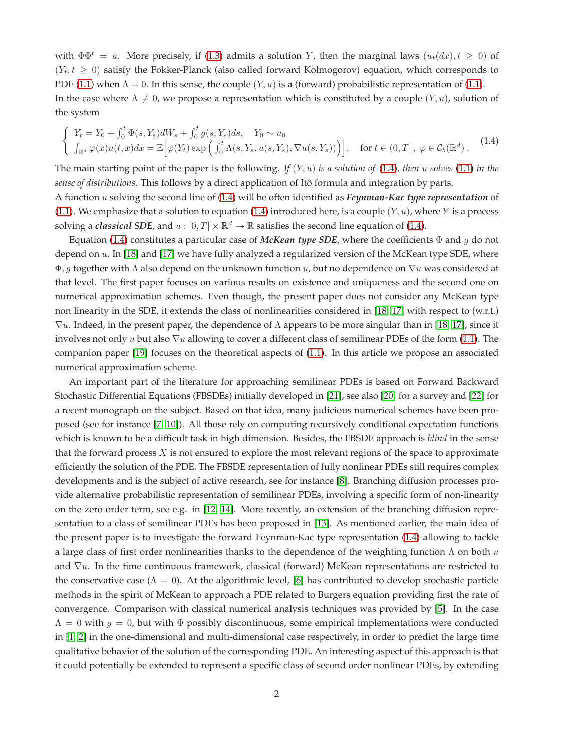with  $\Phi \Phi^t = a$ . More precisely, if [\(1.3\)](#page-0-1) admits a solution Y, then the marginal laws  $(u_t(dx), t \ge 0)$  of  $(Y_t, t \geq 0)$  satisfy the Fokker-Planck (also called forward Kolmogorov) equation, which corresponds to PDE [\(1.1\)](#page-0-0) when  $\Lambda = 0$ . In this sense, the couple  $(Y, u)$  is a (forward) probabilistic representation of (1.1). In the case where  $\Lambda \neq 0$ , we propose a representation which is constituted by a couple  $(Y, u)$ , solution of the system

<span id="page-1-0"></span>
$$
\begin{cases}\nY_t = Y_0 + \int_0^t \Phi(s, Y_s) dW_s + \int_0^t g(s, Y_s) ds, & Y_0 \sim u_0 \\
\int_{\mathbb{R}^d} \varphi(x) u(t, x) dx = \mathbb{E} \Big[ \varphi(Y_t) \exp \Big( \int_0^t \Lambda(s, Y_s, u(s, Y_s), \nabla u(s, Y_s)) \Big) \Big], & \text{for } t \in (0, T], \ \varphi \in \mathcal{C}_b(\mathbb{R}^d).\n\end{cases}
$$
\n(1.4)

The main starting point of the paper is the following. *If* (Y, u) *is a solution of* [\(1.4\)](#page-1-0)*, then* u *solves* [\(1.1\)](#page-0-0) *in the sense of distributions.* This follows by a direct application of Itô formula and integration by parts.

A function u solving the second line of [\(1.4\)](#page-1-0) will be often identified as *Feynman-Kac type representation* of [\(1.1\)](#page-0-0). We emphasize that a solution to equation [\(1.4\)](#page-1-0) introduced here, is a couple  $(Y, u)$ , where Y is a process solving a *classical SDE*, and  $u : [0, T] \times \mathbb{R}^d \to \mathbb{R}$  satisfies the second line equation of [\(1.4\)](#page-1-0).

Equation [\(1.4\)](#page-1-0) constitutes a particular case of *McKean type SDE*, where the coefficients Φ and g do not depend on u. In [\[18\]](#page-17-0) and [\[17\]](#page-17-1) we have fully analyzed a regularized version of the McKean type SDE, where  $\Phi$ , g together with  $\Lambda$  also depend on the unknown function u, but no dependence on  $\nabla u$  was considered at that level. The first paper focuses on various results on existence and uniqueness and the second one on numerical approximation schemes. Even though, the present paper does not consider any McKean type non linearity in the SDE, it extends the class of nonlinearities considered in [\[18,](#page-17-0) [17\]](#page-17-1) with respect to (w.r.t.)  $\nabla u$ . Indeed, in the present paper, the dependence of  $\Lambda$  appears to be more singular than in [\[18,](#page-17-0) [17\]](#page-17-1), since it involves not only u but also  $\nabla u$  allowing to cover a different class of semilinear PDEs of the form [\(1.1\)](#page-0-0). The companion paper [\[19\]](#page-17-2) focuses on the theoretical aspects of [\(1.1\)](#page-0-0). In this article we propose an associated numerical approximation scheme.

An important part of the literature for approaching semilinear PDEs is based on Forward Backward Stochastic Differential Equations (FBSDEs) initially developed in [\[21\]](#page-17-3), see also [\[20\]](#page-17-4) for a survey and [\[22\]](#page-17-5) for a recent monograph on the subject. Based on that idea, many judicious numerical schemes have been proposed (see for instance [\[7,](#page-16-0) [10\]](#page-16-1)). All those rely on computing recursively conditional expectation functions which is known to be a difficult task in high dimension. Besides, the FBSDE approach is *blind* in the sense that the forward process  $X$  is not ensured to explore the most relevant regions of the space to approximate efficiently the solution of the PDE. The FBSDE representation of fully nonlinear PDEs still requires complex developments and is the subject of active research, see for instance [\[8\]](#page-16-2). Branching diffusion processes provide alternative probabilistic representation of semilinear PDEs, involving a specific form of non-linearity on the zero order term, see e.g. in [\[12,](#page-16-3) [14\]](#page-17-6). More recently, an extension of the branching diffusion representation to a class of semilinear PDEs has been proposed in [\[13\]](#page-16-4). As mentioned earlier, the main idea of the present paper is to investigate the forward Feynman-Kac type representation [\(1.4\)](#page-1-0) allowing to tackle a large class of first order nonlinearities thanks to the dependence of the weighting function  $\Lambda$  on both  $u$ and ∇u. In the time continuous framework, classical (forward) McKean representations are restricted to the conservative case ( $\Lambda = 0$ ). At the algorithmic level, [\[6\]](#page-16-5) has contributed to develop stochastic particle methods in the spirit of McKean to approach a PDE related to Burgers equation providing first the rate of convergence. Comparison with classical numerical analysis techniques was provided by [\[5\]](#page-16-6). In the case  $\Lambda = 0$  with  $g = 0$ , but with  $\Phi$  possibly discontinuous, some empirical implementations were conducted in [\[1,](#page-16-7) [2\]](#page-16-8) in the one-dimensional and multi-dimensional case respectively, in order to predict the large time qualitative behavior of the solution of the corresponding PDE. An interesting aspect of this approach is that it could potentially be extended to represent a specific class of second order nonlinear PDEs, by extending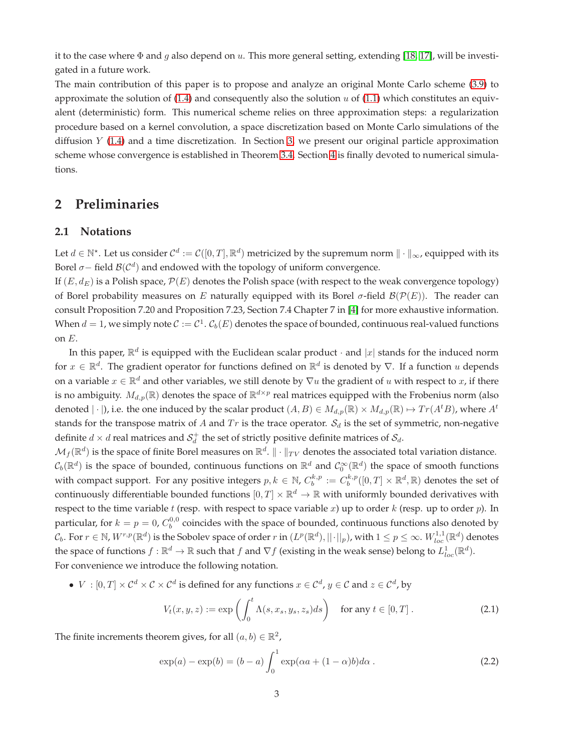it to the case where  $\Phi$  and g also depend on u. This more general setting, extending [\[18,](#page-17-0) [17\]](#page-17-1), will be investigated in a future work.

The main contribution of this paper is to propose and analyze an original Monte Carlo scheme [\(3.9\)](#page-6-0) to approximate the solution of  $(1.4)$  and consequently also the solution u of  $(1.1)$  which constitutes an equivalent (deterministic) form. This numerical scheme relies on three approximation steps: a regularization procedure based on a kernel convolution, a space discretization based on Monte Carlo simulations of the diffusion  $Y$  [\(1.4\)](#page-1-0) and a time discretization. In Section [3,](#page-4-0) we present our original particle approximation scheme whose convergence is established in Theorem [3.4.](#page-6-1) Section [4](#page-10-0) is finally devoted to numerical simulations.

## **2 Preliminaries**

#### **2.1 Notations**

Let  $d \in \mathbb{N}^*$ . Let us consider  $\mathcal{C}^d:=\mathcal{C}([0,T],\mathbb{R}^d)$  metricized by the supremum norm  $\|\cdot\|_\infty$ , equipped with its Borel  $\sigma$ – field  $\mathcal{B}(\mathcal{C}^d)$  and endowed with the topology of uniform convergence.

If  $(E, d_E)$  is a Polish space,  $\mathcal{P}(E)$  denotes the Polish space (with respect to the weak convergence topology) of Borel probability measures on E naturally equipped with its Borel  $\sigma$ -field  $\mathcal{B}(\mathcal{P}(E))$ . The reader can consult Proposition 7.20 and Proposition 7.23, Section 7.4 Chapter 7 in [\[4\]](#page-16-9) for more exhaustive information. When  $d = 1$ , we simply note  $C := C^1$ .  $\mathcal{C}_b(E)$  denotes the space of bounded, continuous real-valued functions on E.

In this paper,  $\mathbb{R}^d$  is equipped with the Euclidean scalar product  $\cdot$  and  $|x|$  stands for the induced norm for  $x \in \mathbb{R}^d$ . The gradient operator for functions defined on  $\mathbb{R}^d$  is denoted by  $\nabla$ . If a function  $u$  depends on a variable  $x \in \mathbb{R}^d$  and other variables, we still denote by  $\nabla u$  the gradient of  $u$  with respect to  $x$ , if there is no ambiguity.  $M_{d,p}(\mathbb{R})$  denotes the space of  $\mathbb{R}^{d\times p}$  real matrices equipped with the Frobenius norm (also denoted  $|\cdot|$ ), i.e. the one induced by the scalar product  $(A, B) \in M_{d,p}(\mathbb{R}) \times M_{d,p}(\mathbb{R}) \mapsto Tr(A^t B)$ , where  $A^t$ stands for the transpose matrix of A and  $Tr$  is the trace operator.  $S_d$  is the set of symmetric, non-negative definite  $d \times d$  real matrices and  $\mathcal{S}_d^+$  the set of strictly positive definite matrices of  $\mathcal{S}_d$ .

 $\mathcal{M}_f(\mathbb{R}^d)$  is the space of finite Borel measures on  $\mathbb{R}^d$ .  $\|\cdot\|_{TV}$  denotes the associated total variation distance.  $\mathcal C_b(\mathbb R^d)$  is the space of bounded, continuous functions on  $\mathbb R^d$  and  $\mathcal C_0^\infty(\mathbb R^d)$  the space of smooth functions with compact support. For any positive integers  $p, k \in \mathbb{N}$ ,  $C_b^{k,p} := C_b^{k,p}([0,T] \times \mathbb{R}^d, \mathbb{R})$  denotes the set of continuously differentiable bounded functions  $[0,T]\times\mathbb{R}^d\to\mathbb{R}$  with uniformly bounded derivatives with respect to the time variable t (resp. with respect to space variable x) up to order  $k$  (resp. up to order  $p$ ). In particular, for  $k = p = 0$ ,  $C_b^{0,0}$  coincides with the space of bounded, continuous functions also denoted by  $\mathcal{C}_b$ . For  $r\in\mathbb{N}$ ,  $W^{r,p}(\mathbb{R}^d)$  is the Sobolev space of order  $r$  in  $(L^p(\mathbb{R}^d),||\cdot||_p)$ , with  $1\leq p\leq\infty$ .  $W^{1,1}_{loc}(\mathbb{R}^d)$  denotes the space of functions  $f : \mathbb{R}^d \to \mathbb{R}$  such that  $f$  and  $\nabla f$  (existing in the weak sense) belong to  $L^1_{loc}(\mathbb{R}^d)$ . For convenience we introduce the following notation.

•  $V : [0, T] \times C^d \times C \times C^d$  is defined for any functions  $x \in C^d$ ,  $y \in C$  and  $z \in C^d$ , by

<span id="page-2-1"></span>
$$
V_t(x, y, z) := \exp\left(\int_0^t \Lambda(s, x_s, y_s, z_s) ds\right) \quad \text{for any } t \in [0, T]. \tag{2.1}
$$

The finite increments theorem gives, for all  $(a, b) \in \mathbb{R}^2$ ,

<span id="page-2-0"></span>
$$
\exp(a) - \exp(b) = (b - a) \int_0^1 \exp(\alpha a + (1 - \alpha)b) d\alpha.
$$
 (2.2)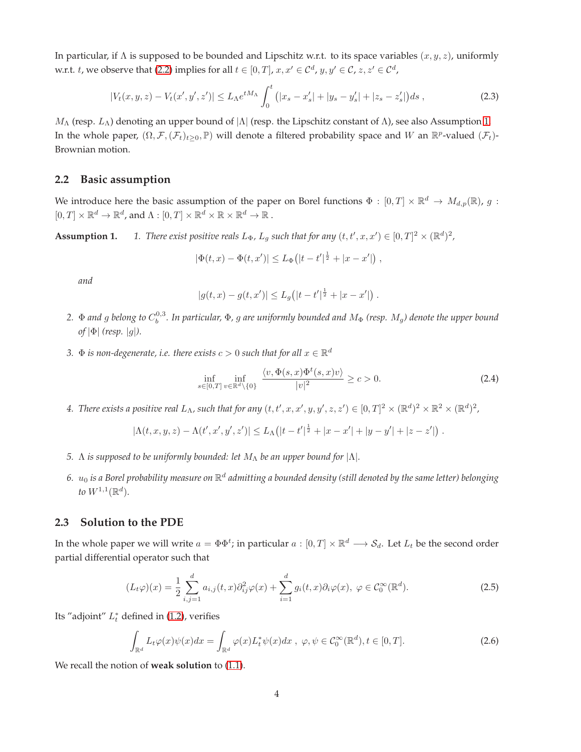In particular, if  $\Lambda$  is supposed to be bounded and Lipschitz w.r.t. to its space variables  $(x, y, z)$ , uniformly w.r.t. t, we observe that [\(2.2\)](#page-2-0) implies for all  $t \in [0,T]$ ,  $x, x' \in \mathcal{C}^d$ ,  $y, y' \in \mathcal{C}$ ,  $z, z' \in \mathcal{C}^d$ ,

<span id="page-3-1"></span>
$$
|V_t(x, y, z) - V_t(x', y', z')| \le L_\Lambda e^{tM_\Lambda} \int_0^t (|x_s - x'_s| + |y_s - y'_s| + |z_s - z'_s|) ds , \qquad (2.3)
$$

 $M_\Lambda$  (resp.  $L_\Lambda$ ) denoting an upper bound of  $|\Lambda|$  (resp. the Lipschitz constant of  $\Lambda$ ), see also Assumption [1.](#page-3-0) In the whole paper,  $(\Omega, \mathcal{F}, (\mathcal{F}_t)_{t\geq 0}, \mathbb{P})$  will denote a filtered probability space and W an  $\mathbb{R}^p$ -valued  $(\mathcal{F}_t)$ -Brownian motion.

#### **2.2 Basic assumption**

<span id="page-3-0"></span>We introduce here the basic assumption of the paper on Borel functions  $\Phi: [0,T] \times \mathbb{R}^d \to M_{d,p}(\mathbb{R})$ , g :  $[0, T] \times \mathbb{R}^d \to \mathbb{R}^d$ , and  $\Lambda : [0, T] \times \mathbb{R}^d \times \mathbb{R} \times \mathbb{R}^d \to \mathbb{R}$ .

**Assumption 1.** *1. There exist positive reals*  $L_{\Phi}$ *,*  $L_g$  *such that for any*  $(t, t', x, x') \in [0, T]^2 \times (\mathbb{R}^d)^2$ *,* 

 $|\Phi(t,x) - \Phi(t,x')| \leq L_{\Phi} (|t-t'|^{\frac{1}{2}} + |x-x'|)$ ,

*and*

$$
|g(t,x) - g(t,x')| \le L_g(|t - t'|^{\frac{1}{2}} + |x - x'|)
$$

- 2.  $\Phi$  and  $g$  belong to  $C_b^{0,3}$ . In particular,  $\Phi$ ,  $g$  are uniformly bounded and  $M_\Phi$  (resp.  $M_g$ ) denote the upper bound *of* |Φ| *(resp.* |g|*).*
- 3.  $\Phi$  *is non-degenerate, i.e. there exists*  $c > 0$  *such that for all*  $x \in \mathbb{R}^d$

$$
\inf_{s \in [0,T]} \inf_{v \in \mathbb{R}^d \setminus \{0\}} \frac{\langle v, \Phi(s,x) \Phi^t(s,x) v \rangle}{|v|^2} \ge c > 0.
$$
\n(2.4)

.

4. There exists a positive real  $L_\Lambda$ , such that for any  $(t, t', x, x', y, y', z, z') \in [0,T]^2 \times (\mathbb{R}^d)^2 \times \mathbb{R}^2 \times (\mathbb{R}^d)^2$ ,

$$
|\Lambda(t, x, y, z) - \Lambda(t', x', y', z')| \le L_{\Lambda} (|t - t'|^{\frac{1}{2}} + |x - x'| + |y - y'| + |z - z'|).
$$

- *5.* Λ *is supposed to be uniformly bounded: let* M<sup>Λ</sup> *be an upper bound for* |Λ|*.*
- 6.  $u_0$  is a Borel probability measure on  $\R^d$  admitting a bounded density (still denoted by the same letter) belonging to  $W^{1,1}(\mathbb{R}^d)$ .

#### **2.3 Solution to the PDE**

In the whole paper we will write  $a = \Phi \Phi^t$ ; in particular  $a : [0, T] \times \mathbb{R}^d \longrightarrow S_d$ . Let  $L_t$  be the second order partial differential operator such that

$$
(L_t\varphi)(x) = \frac{1}{2} \sum_{i,j=1}^d a_{i,j}(t,x) \partial_{ij}^2 \varphi(x) + \sum_{i=1}^d g_i(t,x) \partial_i \varphi(x), \ \varphi \in C_0^{\infty}(\mathbb{R}^d).
$$
 (2.5)

Its "adjoint"  $L_t^*$  defined in [\(1.2\)](#page-0-2), verifies

$$
\int_{\mathbb{R}^d} L_t \varphi(x) \psi(x) dx = \int_{\mathbb{R}^d} \varphi(x) L_t^* \psi(x) dx , \ \varphi, \psi \in C_0^{\infty}(\mathbb{R}^d), t \in [0, T].
$$
\n(2.6)

We recall the notion of **weak solution** to [\(1.1\)](#page-0-0).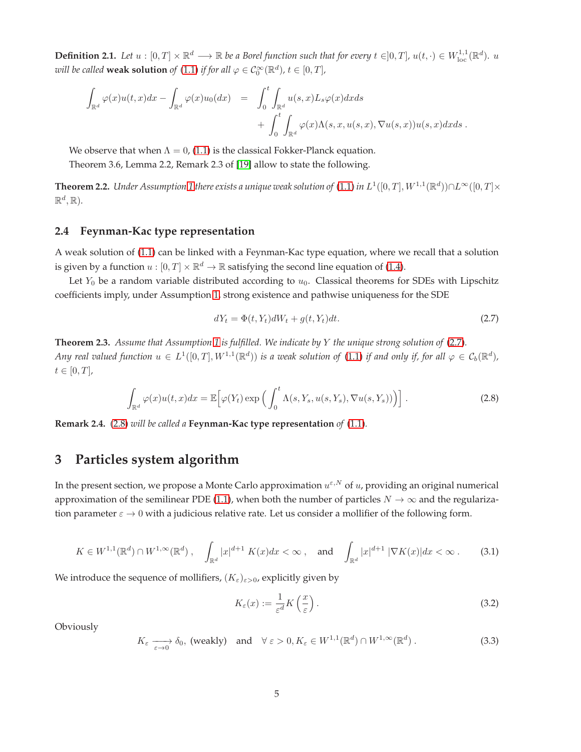**Definition 2.1.** Let  $u:[0,T]\times\mathbb{R}^d\longrightarrow \mathbb{R}$  be a Borel function such that for every  $t\in]0,T]$ ,  $u(t,\cdot)\in W^{1,1}_{loc}(\mathbb{R}^d)$ .  $u$ *will be called* **weak solution** *of*  $(1.1)$  *if for all*  $\varphi \in C_0^{\infty}(\mathbb{R}^d)$ *,*  $t \in [0, T]$ *,* 

$$
\int_{\mathbb{R}^d} \varphi(x)u(t,x)dx - \int_{\mathbb{R}^d} \varphi(x)u_0(dx) = \int_0^t \int_{\mathbb{R}^d} u(s,x)L_s\varphi(x)dxds \n+ \int_0^t \int_{\mathbb{R}^d} \varphi(x)\Lambda(s,x,u(s,x),\nabla u(s,x))u(s,x)dxds.
$$

We observe that when  $\Lambda = 0$ , [\(1.1\)](#page-0-0) is the classical Fokker-Planck equation.

Theorem 3.6, Lemma 2.2, Remark 2.3 of [\[19\]](#page-17-2) allow to state the following.

**Theorem 2.2.** Under Assumption [1](#page-3-0) there exists a unique weak solution of  $(1.1)$  in  $L^1([0,T],W^{1,1}(\mathbb{R}^d))$ n $L^\infty([0,T]\times$  $\mathbb{R}^d$ ,  $\mathbb{R}$ ).

#### **2.4 Feynman-Kac type representation**

A weak solution of [\(1.1\)](#page-0-0) can be linked with a Feynman-Kac type equation, where we recall that a solution is given by a function  $u : [0, T] \times \mathbb{R}^d \to \mathbb{R}$  satisfying the second line equation of [\(1.4\)](#page-1-0).

Let  $Y_0$  be a random variable distributed according to  $u_0$ . Classical theorems for SDEs with Lipschitz coefficients imply, under Assumption [1,](#page-3-0) strong existence and pathwise uniqueness for the SDE

<span id="page-4-1"></span>
$$
dY_t = \Phi(t, Y_t)dW_t + g(t, Y_t)dt.
$$
\n(2.7)

**Theorem 2.3.** *Assume that Assumption [1](#page-3-0) is fulfilled. We indicate by* Y *the unique strong solution of* [\(2.7\)](#page-4-1)*. Any real valued function*  $u \in L^1([0,T],W^{1,1}(\mathbb{R}^d))$  is a weak solution of [\(1.1\)](#page-0-0) if and only if, for all  $\varphi \in C_b(\mathbb{R}^d)$ ,  $t \in [0, T]$ ,

<span id="page-4-2"></span>
$$
\int_{\mathbb{R}^d} \varphi(x) u(t, x) dx = \mathbb{E} \Big[ \varphi(Y_t) \exp \Big( \int_0^t \Lambda(s, Y_s, u(s, Y_s), \nabla u(s, Y_s)) \Big) \Big]. \tag{2.8}
$$

<span id="page-4-0"></span>**Remark 2.4.** [\(2.8\)](#page-4-2) *will be called a* **Feynman-Kac type representation** *of* [\(1.1\)](#page-0-0)*.*

# **3 Particles system algorithm**

In the present section, we propose a Monte Carlo approximation  $u^{\varepsilon,N}$  of  $u$ , providing an original numerical approximation of the semilinear PDE [\(1.1\)](#page-0-0), when both the number of particles  $N \to \infty$  and the regularization parameter  $\varepsilon \to 0$  with a judicious relative rate. Let us consider a mollifier of the following form.

<span id="page-4-3"></span>
$$
K \in W^{1,1}(\mathbb{R}^d) \cap W^{1,\infty}(\mathbb{R}^d) \ , \quad \int_{\mathbb{R}^d} |x|^{d+1} \ K(x) dx < \infty \ , \quad \text{and} \quad \int_{\mathbb{R}^d} |x|^{d+1} \ |\nabla K(x)| dx < \infty \ . \tag{3.1}
$$

We introduce the sequence of mollifiers,  $(K_{\varepsilon})_{\varepsilon>0}$ , explicitly given by

$$
K_{\varepsilon}(x) := \frac{1}{\varepsilon^d} K\left(\frac{x}{\varepsilon}\right). \tag{3.2}
$$

Obviously

$$
K_{\varepsilon} \longrightarrow \delta_0
$$
, (weakly) and  $\forall \varepsilon > 0, K_{\varepsilon} \in W^{1,1}(\mathbb{R}^d) \cap W^{1,\infty}(\mathbb{R}^d)$ . (3.3)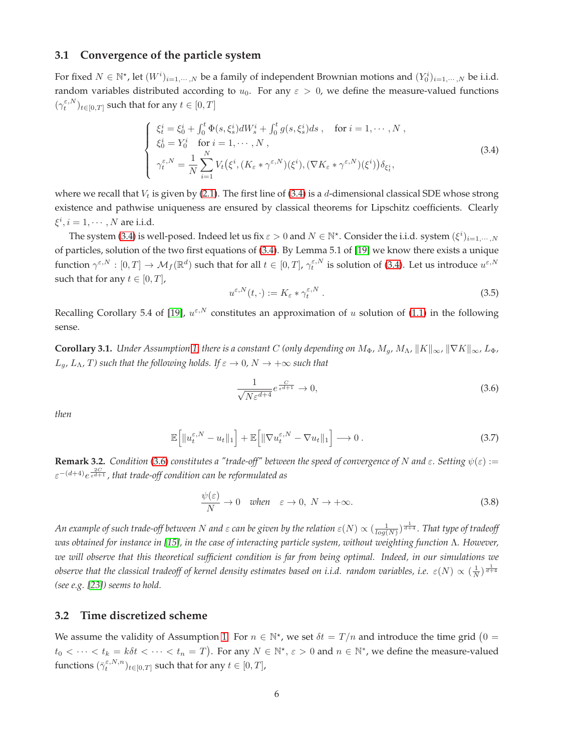#### **3.1 Convergence of the particle system**

For fixed  $N \in \mathbb{N}^*$ , let  $(W^i)_{i=1,\dots,N}$  be a family of independent Brownian motions and  $(Y^i_0)_{i=1,\dots,N}$  be i.i.d. random variables distributed according to  $u_0$ . For any  $\varepsilon > 0$ , we define the measure-valued functions  $(\gamma_t^{\varepsilon, N})_{t \in [0,T]}$  such that for any  $t \in [0,T]$ 

<span id="page-5-0"></span>
$$
\begin{cases}\n\xi_t^i = \xi_0^i + \int_0^t \Phi(s, \xi_s^i) dW_s^i + \int_0^t g(s, \xi_s^i) ds, & \text{for } i = 1, \dots, N, \\
\xi_0^i = Y_0^i & \text{for } i = 1, \dots, N, \\
\gamma_t^{\varepsilon, N} = \frac{1}{N} \sum_{i=1}^N V_t(\xi^i, (K_{\varepsilon} * \gamma^{\varepsilon, N})(\xi^i), (\nabla K_{\varepsilon} * \gamma^{\varepsilon, N})(\xi^i)) \delta_{\xi_t^i},\n\end{cases}
$$
\n(3.4)

where we recall that  $V_t$  is given by [\(2.1\)](#page-2-1). The first line of [\(3.4\)](#page-5-0) is a d-dimensional classical SDE whose strong existence and pathwise uniqueness are ensured by classical theorems for Lipschitz coefficients. Clearly  $\xi^i, i = 1, \cdots, N$  are i.i.d.

The system [\(3.4\)](#page-5-0) is well-posed. Indeed let us fix  $\varepsilon > 0$  and  $N \in \mathbb{N}^*$ . Consider the i.i.d. system  $(\xi^i)_{i=1,\cdots,N}$ of particles, solution of the two first equations of [\(3.4\)](#page-5-0). By Lemma 5.1 of [\[19\]](#page-17-2) we know there exists a unique function  $\gamma^{\varepsilon,N}:[0,T]\to \mathcal M_f(\mathbb R^d)$  such that for all  $t\in[0,T]$ ,  $\gamma^{\varepsilon,N}_t$  is solution of [\(3.4\)](#page-5-0). Let us introduce  $u^{\varepsilon,N}$ such that for any  $t \in [0, T]$ ,

<span id="page-5-3"></span>
$$
u^{\varepsilon,N}(t,\cdot) := K_{\varepsilon} * \gamma_t^{\varepsilon,N} . \tag{3.5}
$$

<span id="page-5-2"></span>Recalling Corollary 5.4 of [\[19\]](#page-17-2),  $u^{\epsilon,N}$  constitutes an approximation of u solution of [\(1.1\)](#page-0-0) in the following sense.

**Corollary 3.1.** *Under Assumption [1,](#page-3-0) there is a constant* C *(only depending on*  $M_{\Phi}$ *,*  $M_q$ *,*  $M_\Lambda$ ,  $\|K\|_{\infty}$ ,  $\|VK\|_{\infty}$ *, L*<sub>Φ</sub>*,*  $L_g$ ,  $L_\Lambda$ , T) such that the following holds. If  $\varepsilon \to 0$ ,  $N \to +\infty$  such that

<span id="page-5-1"></span>
$$
\frac{1}{\sqrt{N\varepsilon^{d+4}}}e^{\frac{C}{\varepsilon^{d+1}}} \to 0,\tag{3.6}
$$

*then*

$$
\mathbb{E}\left[\|u_t^{\varepsilon,N} - u_t\|_1\right] + \mathbb{E}\left[\|\nabla u_t^{\varepsilon,N} - \nabla u_t\|_1\right] \longrightarrow 0. \tag{3.7}
$$

<span id="page-5-5"></span>**Remark 3.2.** *Condition* [\(3.6\)](#page-5-1) *constitutes a "trade-off" between the speed of convergence of* N *and*  $\epsilon$ *. Setting*  $\psi(\epsilon) :=$  $\varepsilon^{-(d+4)} e^{\frac{2C}{\varepsilon^{d+1}}}$  , that trade-off condition can be reformulated as

<span id="page-5-4"></span>
$$
\frac{\psi(\varepsilon)}{N} \to 0 \quad when \quad \varepsilon \to 0, \ N \to +\infty. \tag{3.8}
$$

An example of such trade-off between  $N$  and  $\varepsilon$  can be given by the relation  $\varepsilon(N)\propto (\frac{1}{log(N)})^{\frac{1}{d+4}}.$  That type of tradeoff *was obtained for instance in [\[15\]](#page-17-7), in the case of interacting particle system, without weighting function* Λ*. However, we will observe that this theoretical sufficient condition is far from being optimal. Indeed, in our simulations we* observe that the classical tradeoff of kernel density estimates based on i.i.d. random variables, i.e.  $\varepsilon(N)\propto(\frac{1}{N})^{\frac{1}{d+4}}$ *(see e.g. [\[23\]](#page-17-8)) seems to hold.*

#### **3.2 Time discretized scheme**

We assume the validity of Assumption [1.](#page-3-0) For  $n \in \mathbb{N}^*$ , we set  $\delta t = T/n$  and introduce the time grid  $(0 =$  $t_0 < \cdots < t_k = k\delta t < \cdots < t_n = T$ ). For any  $N \in \mathbb{N}^*$ ,  $\varepsilon > 0$  and  $n \in \mathbb{N}^*$ , we define the measure-valued functions  $(\bar{\gamma}_t^{\varepsilon,N,n})_{t\in[0,T]}$  such that for any  $t\in[0,T]$ ,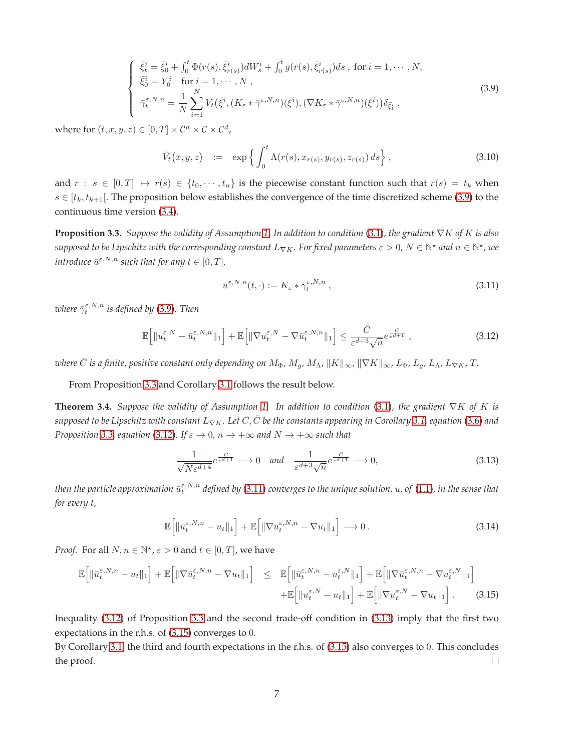<span id="page-6-0"></span>
$$
\begin{cases}\n\bar{\xi}_{t}^{i} = \bar{\xi}_{0}^{i} + \int_{0}^{t} \Phi(r(s), \bar{\xi}_{r(s)}^{i}) dW_{s}^{i} + \int_{0}^{t} g(r(s), \bar{\xi}_{r(s)}^{i}) ds, \text{ for } i = 1, \dots, N, \\
\bar{\xi}_{0}^{i} = Y_{0}^{i} \quad \text{for } i = 1, \dots, N, \\
\bar{\gamma}_{t}^{\varepsilon, N, n} = \frac{1}{N} \sum_{i=1}^{N} \bar{V}_{t} (\bar{\xi}^{i}, (K_{\varepsilon} * \bar{\gamma}^{\varepsilon, N, n})(\bar{\xi}^{i}), (\nabla K_{\varepsilon} * \bar{\gamma}^{\varepsilon, N, n})(\bar{\xi}^{i})) \delta_{\bar{\xi}_{t}^{i}},\n\end{cases}
$$
\n(3.9)

where for  $(t, x, y, z) \in [0, T] \times C^d \times C \times C^d$ ,

<span id="page-6-7"></span>
$$
\bar{V}_t(x, y, z) := \exp\left\{ \int_0^t \Lambda(r(s), x_{r(s)}, y_{r(s)}, z_{r(s)}) ds \right\},
$$
\n(3.10)

and  $r : s \in [0, T] \mapsto r(s) \in \{t_0, \dots, t_n\}$  is the piecewise constant function such that  $r(s) = t_k$  when  $s \in [t_k, t_{k+1}]$ . The proposition below establishes the convergence of the time discretized scheme [\(3.9\)](#page-6-0) to the continuous time version [\(3.4\)](#page-5-0).

<span id="page-6-2"></span>**Proposition 3.3.** *Suppose the validity of Assumption [1.](#page-3-0) In addition to condition* [\(3.1\)](#page-4-3)*, the gradient* ∇K *of* K *is also*  $s$ upposed to be Lipschitz with the corresponding constant  $L_{\nabla K}$ . For fixed parameters  $\varepsilon > 0$ ,  $N \in \mathbb{N}^*$  and  $n \in \mathbb{N}^*$ , we  $introduce\,\,\overline u^{\varepsilon,N,n}$  such that for any  $t\in[0,T]$ ,

<span id="page-6-4"></span>
$$
\bar{u}^{\varepsilon,N,n}(t,\cdot) := K_{\varepsilon} * \bar{\gamma}_t^{\varepsilon,N,n} \tag{3.11}
$$

where  $\bar{\gamma}^{\varepsilon,N,n}_t$  is defined by [\(3.9\)](#page-6-0). Then

<span id="page-6-3"></span>
$$
\mathbb{E}\Big[\|u_t^{\varepsilon,N} - \bar{u}_t^{\varepsilon,N,n}\|_1\Big] + \mathbb{E}\Big[\|\nabla u_t^{\varepsilon,N} - \nabla \bar{u}_t^{\varepsilon,N,n}\|_1\Big] \leq \frac{\bar{C}}{\varepsilon^{d+3}\sqrt{n}} e^{\frac{\bar{C}}{\varepsilon^{d+1}}},\tag{3.12}
$$

*where*  $\bar{C}$  *is a finite, positive constant only depending on*  $M_{\Phi}$ ,  $M_q$ ,  $M_{\Lambda}$ ,  $\|K\|_{\infty}$ ,  $\|\nabla K\|_{\infty}$ ,  $L_{\Phi}$ ,  $L_q$ ,  $L_{\Lambda}$ ,  $L_{\nabla K}$ ,  $T$ .

<span id="page-6-1"></span>From Proposition [3.3](#page-6-2) and Corollary [3.1](#page-5-2) follows the result below.

**Theorem 3.4.** *Suppose the validity of Assumption [1.](#page-3-0) In addition to condition* [\(3.1\)](#page-4-3)*, the gradient* ∇K *of* K *is supposed to be Lipschitz with constant* L∇K*. Let* C, C¯ *be the constants appearing in Corollary [3.1,](#page-5-2) equation* [\(3.6\)](#page-5-1) *and Proposition* [3.3,](#page-6-2) *equation* [\(3.12\)](#page-6-3)*. If*  $\varepsilon \to 0$ ,  $n \to +\infty$  and  $N \to +\infty$  such that

<span id="page-6-5"></span>
$$
\frac{1}{\sqrt{N\varepsilon^{d+4}}}e^{\frac{C}{\varepsilon^{d+1}}}\longrightarrow 0 \quad and \quad \frac{1}{\varepsilon^{d+3}\sqrt{n}}e^{\frac{\tilde{C}}{\varepsilon^{d+1}}}\longrightarrow 0,
$$
\n(3.13)

then the particle approximation  $\bar{u}^{\varepsilon,N,n}_t$  defined by [\(3.11\)](#page-6-4) converges to the unique solution,  $u$ , of [\(1.1\)](#page-0-0), in the sense that *for every* t*,*

$$
\mathbb{E}\left[\|\bar{u}_t^{\varepsilon,N,n} - u_t\|_1\right] + \mathbb{E}\left[\|\nabla \bar{u}_t^{\varepsilon,N,n} - \nabla u_t\|_1\right] \longrightarrow 0. \tag{3.14}
$$

*Proof.* For all  $N, n \in \mathbb{N}^*$ ,  $\varepsilon > 0$  and  $t \in [0, T]$ , we have

<span id="page-6-6"></span>
$$
\mathbb{E}\left[\|\bar{u}_{t}^{\varepsilon,N,n} - u_{t}\|_{1}\right] + \mathbb{E}\left[\|\nabla\bar{u}_{t}^{\varepsilon,N,n} - \nabla u_{t}\|_{1}\right] \leq \mathbb{E}\left[\|\bar{u}_{t}^{\varepsilon,N,n} - u_{t}^{\varepsilon,N}\|_{1}\right] + \mathbb{E}\left[\|\nabla\bar{u}_{t}^{\varepsilon,N,n} - \nabla u_{t}^{\varepsilon,N}\|_{1}\right] + \mathbb{E}\left[\|\nabla\bar{u}_{t}^{\varepsilon,N,n} - \nabla u_{t}^{\varepsilon,N}\|_{1}\right] + \mathbb{E}\left[\|\nabla\bar{u}_{t}^{\varepsilon,N} - \nabla u_{t}\|_{1}\right].
$$
\n(3.15)

Inequality [\(3.12\)](#page-6-3) of Proposition [3.3](#page-6-2) and the second trade-off condition in [\(3.13\)](#page-6-5) imply that the first two expectations in the r.h.s. of [\(3.15\)](#page-6-6) converges to 0.

By Corollary [3.1,](#page-5-2) the third and fourth expectations in the r.h.s. of [\(3.15\)](#page-6-6) also converges to 0. This concludes the proof.  $\Box$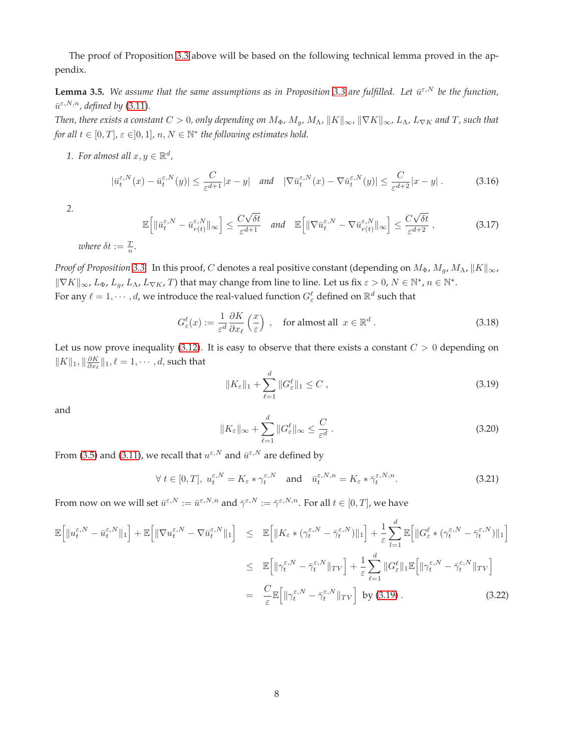<span id="page-7-6"></span>The proof of Proposition [3.3](#page-6-2) above will be based on the following technical lemma proved in the appendix.

**Lemma 3.5.** We assume that the same assumptions as in Proposition [3.3](#page-6-2) are fulfilled. Let  $\bar{u}^{\epsilon,N}$  be the function,  $\bar{u}^{\varepsilon,N,n}$ , defined by [\(3.11\)](#page-6-4).

*Then, there exists a constant*  $C > 0$ , only depending on  $M_{\Phi}$ ,  $M_g$ ,  $M_\Lambda$ ,  $||K||_{\infty}$ ,  $||\nabla K||_{\infty}$ ,  $L_\Lambda$ ,  $L_{\nabla K}$  and  $T$ , such that *for all*  $t \in [0, T]$ ,  $\varepsilon \in ]0, 1]$ ,  $n, N \in \mathbb{N}^*$  the following estimates hold.

1. For almost all  $x, y \in \mathbb{R}^d$ ,

<span id="page-7-3"></span>
$$
|\bar{u}_t^{\varepsilon,N}(x) - \bar{u}_t^{\varepsilon,N}(y)| \le \frac{C}{\varepsilon^{d+1}}|x - y| \quad \text{and} \quad |\nabla \bar{u}_t^{\varepsilon,N}(x) - \nabla \bar{u}_t^{\varepsilon,N}(y)| \le \frac{C}{\varepsilon^{d+2}}|x - y| \,. \tag{3.16}
$$

*2.*

<span id="page-7-4"></span>
$$
\mathbb{E}\Big[\|\bar{u}_{t}^{\varepsilon,N} - \bar{u}_{r(t)}^{\varepsilon,N}\|_{\infty}\Big] \leq \frac{C\sqrt{\delta t}}{\varepsilon^{d+1}} \quad \text{and} \quad \mathbb{E}\Big[\|\nabla \bar{u}_{t}^{\varepsilon,N} - \nabla \bar{u}_{r(t)}^{\varepsilon,N}\|_{\infty}\Big] \leq \frac{C\sqrt{\delta t}}{\varepsilon^{d+2}}\,,\tag{3.17}
$$

*where*  $\delta t := \frac{T}{n}$ .

*Proof of Proposition* [3.3.](#page-6-2) In this proof, C denotes a real positive constant (depending on  $M_{\Phi}$ ,  $M_g$ ,  $M_{\Lambda}$ ,  $\|K\|_{\infty}$ ,  $\|\nabla K\|_{\infty}$ ,  $L_{\Phi}$ ,  $L_g$ ,  $L_{\Lambda}$ ,  $L_{\nabla K}$ , T) that may change from line to line. Let us fix  $\varepsilon > 0$ ,  $N \in \mathbb{N}^*$ ,  $n \in \mathbb{N}^*$ . For any  $\ell = 1, \dots, d$ , we introduce the real-valued function  $G_{\varepsilon}^{\ell}$  defined on  $\mathbb{R}^d$  such that

$$
G_{\varepsilon}^{\ell}(x) := \frac{1}{\varepsilon^{d}} \frac{\partial K}{\partial x_{\ell}} \left( \frac{x}{\varepsilon} \right) , \quad \text{for almost all } x \in \mathbb{R}^{d} . \tag{3.18}
$$

Let us now prove inequality [\(3.12\)](#page-6-3). It is easy to observe that there exists a constant  $C > 0$  depending on  $\|K\|_1, \|\frac{\partial K}{\partial x_\ell}\|_1, \ell=1,\cdots,d,$  such that

<span id="page-7-0"></span>
$$
||K_{\varepsilon}||_1 + \sum_{\ell=1}^d ||G_{\varepsilon}^{\ell}||_1 \le C , \qquad (3.19)
$$

and

<span id="page-7-2"></span>
$$
||K_{\varepsilon}||_{\infty} + \sum_{\ell=1}^{d} ||G_{\varepsilon}^{\ell}||_{\infty} \leq \frac{C}{\varepsilon^{d}}.
$$
\n(3.20)

From [\(3.5\)](#page-5-3) and [\(3.11\)](#page-6-4), we recall that  $u^{\varepsilon,N}$  and  $\bar{u}^{\varepsilon,N}$  are defined by

<span id="page-7-1"></span>
$$
\forall t \in [0, T], \ u_t^{\varepsilon, N} = K_{\varepsilon} * \gamma_t^{\varepsilon, N} \quad \text{and} \quad \bar{u}_t^{\varepsilon, N, n} = K_{\varepsilon} * \bar{\gamma}_t^{\varepsilon, N, n}.
$$

From now on we will set  $\bar{u}^{\varepsilon,N} := \bar{u}^{\varepsilon,N,n}$  and  $\bar{\gamma}^{\varepsilon,N} := \bar{\gamma}^{\varepsilon,N,n}$ . For all  $t \in [0,T]$ , we have

<span id="page-7-5"></span>
$$
\mathbb{E}\left[\|u_{t}^{\varepsilon,N} - \bar{u}_{t}^{\varepsilon,N}\|_{1}\right] + \mathbb{E}\left[\|\nabla u_{t}^{\varepsilon,N} - \nabla \bar{u}_{t}^{\varepsilon,N}\|_{1}\right] \leq \mathbb{E}\left[\|K_{\varepsilon} * (\gamma_{t}^{\varepsilon,N} - \bar{\gamma}_{t}^{\varepsilon,N})\|_{1}\right] + \frac{1}{\varepsilon} \sum_{l=1}^{d} \mathbb{E}\left[\|G_{\varepsilon}^{\ell} * (\gamma_{t}^{\varepsilon,N} - \bar{\gamma}_{t}^{\varepsilon,N})\|_{1}\right]
$$
  
\n
$$
\leq \mathbb{E}\left[\|\gamma_{t}^{\varepsilon,N} - \bar{\gamma}_{t}^{\varepsilon,N}\|_{TV}\right] + \frac{1}{\varepsilon} \sum_{\ell=1}^{d} \|G_{\varepsilon}^{\ell}\|_{1} \mathbb{E}\left[\|\gamma_{t}^{\varepsilon,N} - \bar{\gamma}_{t}^{\varepsilon,N}\|_{TV}\right]
$$
  
\n
$$
= \frac{C}{\varepsilon} \mathbb{E}\left[\|\gamma_{t}^{\varepsilon,N} - \bar{\gamma}_{t}^{\varepsilon,N}\|_{TV}\right] \text{ by (3.19).}
$$
 (3.22)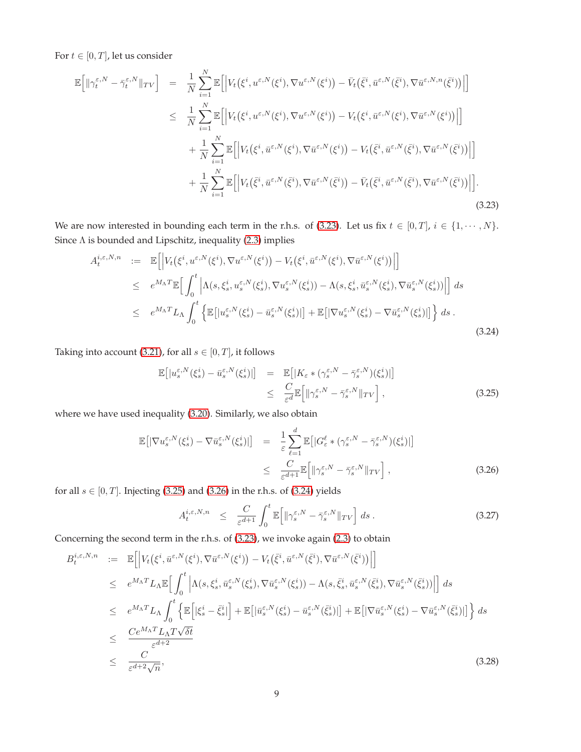For  $t \in [0, T]$ , let us consider

<span id="page-8-0"></span>
$$
\mathbb{E}\left[\|\gamma_t^{\varepsilon,N} - \bar{\gamma}_t^{\varepsilon,N}\|_{TV}\right] = \frac{1}{N} \sum_{i=1}^N \mathbb{E}\left[\left|V_t(\xi^i, u^{\varepsilon,N}(\xi^i), \nabla u^{\varepsilon,N}(\xi^i)) - \bar{V}_t(\bar{\xi}^i, \bar{u}^{\varepsilon,N}(\bar{\xi}^i), \nabla \bar{u}^{\varepsilon,N,n}(\bar{\xi}^i))\right|\right] \n\leq \frac{1}{N} \sum_{i=1}^N \mathbb{E}\left[\left|V_t(\xi^i, u^{\varepsilon,N}(\xi^i), \nabla u^{\varepsilon,N}(\xi^i)) - V_t(\xi^i, \bar{u}^{\varepsilon,N}(\xi^i), \nabla \bar{u}^{\varepsilon,N}(\xi^i))\right|\right] \n+ \frac{1}{N} \sum_{i=1}^N \mathbb{E}\left[\left|V_t(\xi^i, \bar{u}^{\varepsilon,N}(\xi^i), \nabla \bar{u}^{\varepsilon,N}(\xi^i)) - V_t(\bar{\xi}^i, \bar{u}^{\varepsilon,N}(\bar{\xi}^i), \nabla \bar{u}^{\varepsilon,N}(\bar{\xi}^i))\right|\right] \n+ \frac{1}{N} \sum_{i=1}^N \mathbb{E}\left[\left|V_t(\bar{\xi}^i, \bar{u}^{\varepsilon,N}(\bar{\xi}^i), \nabla \bar{u}^{\varepsilon,N}(\bar{\xi}^i)) - \bar{V}_t(\bar{\xi}^i, \bar{u}^{\varepsilon,N}(\bar{\xi}^i), \nabla \bar{u}^{\varepsilon,N}(\bar{\xi}^i))\right|\right].
$$
\n(3.23)

We are now interested in bounding each term in the r.h.s. of [\(3.23\)](#page-8-0). Let us fix  $t \in [0, T]$ ,  $i \in \{1, \dots, N\}$ . Since  $\Lambda$  is bounded and Lipschitz, inequality [\(2.3\)](#page-3-1) implies

<span id="page-8-3"></span>
$$
A_t^{i,\varepsilon,N,n} := \mathbb{E}\Big[\Big|V_t(\xi^i, u^{\varepsilon,N}(\xi^i), \nabla u^{\varepsilon,N}(\xi^i)) - V_t(\xi^i, \bar{u}^{\varepsilon,N}(\xi^i), \nabla \bar{u}^{\varepsilon,N}(\xi^i))\Big|\Big] \leq e^{M_\Lambda T} \mathbb{E}\Big[\int_0^t \Big|\Lambda(s,\xi^i_s, u^{\varepsilon,N}_s(\xi^i_s), \nabla u^{\varepsilon,N}_s(\xi^i_s)) - \Lambda(s,\xi^i_s, \bar{u}^{\varepsilon,N}_s(\xi^i_s), \nabla \bar{u}^{\varepsilon,N}_s(\xi^i_s))\Big|\Big] ds \leq e^{M_\Lambda T} L_\Lambda \int_0^t \Big\{\mathbb{E}\big[|u^{\varepsilon,N}_s(\xi^i_s) - \bar{u}^{\varepsilon,N}_s(\xi^i_s)|\big] + \mathbb{E}\big[|\nabla u^{\varepsilon,N}_s(\xi^i_s) - \nabla \bar{u}^{\varepsilon,N}_s(\xi^i_s)|\big]\Big\} ds.
$$
\n(3.24)

Taking into account [\(3.21\)](#page-7-1), for all  $s \in [0, T]$ , it follows

<span id="page-8-1"></span>
$$
\mathbb{E}\big[|u_s^{\varepsilon,N}(\xi_s^i) - \bar{u}_s^{\varepsilon,N}(\xi_s^i)|\big] = \mathbb{E}\big[|K_{\varepsilon} * (\gamma_s^{\varepsilon,N} - \bar{\gamma}_s^{\varepsilon,N})(\xi_s^i)|\big] \n\leq \frac{C}{\varepsilon^d} \mathbb{E}\big[||\gamma_s^{\varepsilon,N} - \bar{\gamma}_s^{\varepsilon,N}||_{TV}\big],
$$
\n(3.25)

where we have used inequality [\(3.20\)](#page-7-2). Similarly, we also obtain

<span id="page-8-2"></span>
$$
\mathbb{E}\left[\left|\nabla u_s^{\varepsilon,N}(\xi_s^i) - \nabla \bar{u}_s^{\varepsilon,N}(\xi_s^i)\right|\right] = \frac{1}{\varepsilon} \sum_{\ell=1}^d \mathbb{E}\left[\left|G_\varepsilon^\ell * (\gamma_s^{\varepsilon,N} - \bar{\gamma}_s^{\varepsilon,N})(\xi_s^i)\right|\right] \le \frac{C}{\varepsilon^{d+1}} \mathbb{E}\left[\|\gamma_s^{\varepsilon,N} - \bar{\gamma}_s^{\varepsilon,N}\|_{TV}\right],
$$
\n(3.26)

for all  $s \in [0, T]$ . Injecting [\(3.25\)](#page-8-1) and [\(3.26\)](#page-8-2) in the r.h.s. of [\(3.24\)](#page-8-3) yields

<span id="page-8-5"></span>
$$
A_t^{i,\varepsilon,N,n} \leq \frac{C}{\varepsilon^{d+1}} \int_0^t \mathbb{E} \Big[ \| \gamma_s^{\varepsilon,N} - \bar{\gamma}_s^{\varepsilon,N} \|_{TV} \Big] ds . \tag{3.27}
$$

Concerning the second term in the r.h.s. of [\(3.23\)](#page-8-0), we invoke again [\(2.3\)](#page-3-1) to obtain

<span id="page-8-4"></span>
$$
B_{t}^{i,\varepsilon,N,n} := \mathbb{E}\Big[\Big|V_{t}\big(\xi^{i},\bar{u}^{\varepsilon,N}(\xi^{i}),\nabla\bar{u}^{\varepsilon,N}(\xi^{i})\big) - V_{t}\big(\bar{\xi}^{i},\bar{u}^{\varepsilon,N}(\bar{\xi}^{i}),\nabla\bar{u}^{\varepsilon,N}(\bar{\xi}^{i})\big)\Big|\Big] \n\leq e^{M_{\Lambda}T}L_{\Lambda}\mathbb{E}\Big[\int_{0}^{t}\Big|\Lambda(s,\xi_{s}^{i},\bar{u}_{s}^{\varepsilon,N}(\xi_{s}^{i}),\nabla\bar{u}_{s}^{\varepsilon,N}(\xi_{s}^{i}) - \Lambda(s,\bar{\xi}_{s}^{i},\bar{u}_{s}^{\varepsilon,N}(\bar{\xi}_{s}^{i}),\nabla\bar{u}_{s}^{\varepsilon,N}(\bar{\xi}_{s}^{i})\big)\Big|\Big] ds \n\leq e^{M_{\Lambda}T}L_{\Lambda}\int_{0}^{t}\Big\{\mathbb{E}\Big[|\xi_{s}^{i}-\bar{\xi}_{s}^{i}|\Big] + \mathbb{E}\big[|\bar{u}_{s}^{\varepsilon,N}(\xi_{s}^{i}) - \bar{u}_{s}^{\varepsilon,N}(\bar{\xi}_{s}^{i})|\big] + \mathbb{E}\big[|\nabla\bar{u}_{s}^{\varepsilon,N}(\xi_{s}^{i}) - \nabla\bar{u}_{s}^{\varepsilon,N}(\bar{\xi}_{s}^{i})|\big]\Big\} ds \n\leq \frac{Ce^{M_{\Lambda}T}L_{\Lambda}T\sqrt{\delta t}}{\varepsilon^{d+2}\sqrt{n}},
$$
\n(3.28)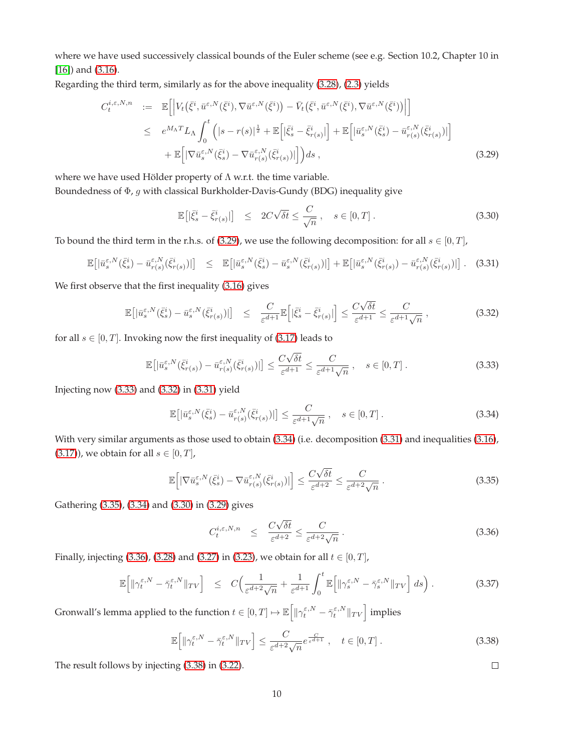where we have used successively classical bounds of the Euler scheme (see e.g. Section 10.2, Chapter 10 in [\[16\]](#page-17-9)) and [\(3.16\)](#page-7-3).

Regarding the third term, similarly as for the above inequality [\(3.28\)](#page-8-4), [\(2.3\)](#page-3-1) yields

<span id="page-9-0"></span>
$$
C_{t}^{i,\varepsilon,N,n} := \mathbb{E}\Big[\Big|V_{t}\big(\bar{\xi}^{i},\bar{u}^{\varepsilon,N}(\bar{\xi}^{i}),\nabla\bar{u}^{\varepsilon,N}(\bar{\xi}^{i})\big) - \bar{V}_{t}\big(\bar{\xi}^{i},\bar{u}^{\varepsilon,N}(\bar{\xi}^{i}),\nabla\bar{u}^{\varepsilon,N}(\bar{\xi}^{i})\big)\Big|\Big] \leq e^{M_{\Lambda}T}L_{\Lambda}\int_{0}^{t}\Big(|s-r(s)|^{\frac{1}{2}} + \mathbb{E}\Big[|\bar{\xi}^{i}_{s} - \bar{\xi}^{i}_{r(s)}|\Big] + \mathbb{E}\Big[|\bar{u}^{\varepsilon,N}_{s}(\bar{\xi}^{i}_{s}) - \bar{u}^{\varepsilon,N}_{r(s)}(\bar{\xi}^{i}_{r(s)})|\Big] + \mathbb{E}\Big[|\nabla\bar{u}^{\varepsilon,N}_{s}(\bar{\xi}^{i}_{s}) - \nabla\bar{u}^{\varepsilon,N}_{r(s)}(\bar{\xi}^{i}_{r(s)})|\Big]\Big)ds , \tag{3.29}
$$

where we have used Hölder property of  $\Lambda$  w.r.t. the time variable. Boundedness of Φ, g with classical Burkholder-Davis-Gundy (BDG) inequality give

<span id="page-9-6"></span>
$$
\mathbb{E}\left[|\bar{\xi}_s^i - \bar{\xi}_{r(s)}^i|\right] \le 2C\sqrt{\delta t} \le \frac{C}{\sqrt{n}}, \quad s \in [0, T]. \tag{3.30}
$$

To bound the third term in the r.h.s. of [\(3.29\)](#page-9-0), we use the following decomposition: for all  $s \in [0, T]$ ,

<span id="page-9-3"></span>
$$
\mathbb{E}\big[\big|\bar{u}_s^{\varepsilon,N}(\bar{\xi}_s^i) - \bar{u}_{r(s)}^{\varepsilon,N}(\bar{\xi}_{r(s)}^i)\big|\big] \leq \mathbb{E}\big[\big|\bar{u}_s^{\varepsilon,N}(\bar{\xi}_s^i) - \bar{u}_s^{\varepsilon,N}(\bar{\xi}_{r(s)}^i)\big|\big] + \mathbb{E}\big[\big|\bar{u}_s^{\varepsilon,N}(\bar{\xi}_{r(s)}^i) - \bar{u}_{r(s)}^{\varepsilon,N}(\bar{\xi}_{r(s)}^i)\big|\big].
$$
 (3.31)

We first observe that the first inequality [\(3.16\)](#page-7-3) gives

<span id="page-9-2"></span>
$$
\mathbb{E}\left[\left|\bar{u}_s^{\varepsilon,N}(\bar{\xi}_s^i) - \bar{u}_s^{\varepsilon,N}(\bar{\xi}_{r(s)}^i)\right|\right] \leq \frac{C}{\varepsilon^{d+1}} \mathbb{E}\left[\left|\bar{\xi}_s^i - \bar{\xi}_{r(s)}^i\right|\right] \leq \frac{C\sqrt{\delta t}}{\varepsilon^{d+1}} \leq \frac{C}{\varepsilon^{d+1}\sqrt{n}},\tag{3.32}
$$

for all  $s \in [0, T]$ . Invoking now the first inequality of [\(3.17\)](#page-7-4) leads to

<span id="page-9-1"></span>
$$
\mathbb{E}\big[\big|\bar{u}_s^{\varepsilon,N}(\bar{\xi}_{r(s)}^i) - \bar{u}_{r(s)}^{\varepsilon,N}(\bar{\xi}_{r(s)}^i)\big|\big] \le \frac{C\sqrt{\delta t}}{\varepsilon^{d+1}} \le \frac{C}{\varepsilon^{d+1}\sqrt{n}}, \quad s \in [0,T].\tag{3.33}
$$

Injecting now [\(3.33\)](#page-9-1) and [\(3.32\)](#page-9-2) in [\(3.31\)](#page-9-3) yield

<span id="page-9-4"></span>
$$
\mathbb{E}\big[\big|\bar{u}_s^{\varepsilon,N}(\bar{\xi}_s^i) - \bar{u}_{r(s)}^{\varepsilon,N}(\bar{\xi}_{r(s)}^i)\big|\big] \le \frac{C}{\varepsilon^{d+1}\sqrt{n}}, \quad s \in [0,T].\tag{3.34}
$$

With very similar arguments as those used to obtain [\(3.34\)](#page-9-4) (i.e. decomposition [\(3.31\)](#page-9-3) and inequalities [\(3.16\)](#page-7-3), [\(3.17\)](#page-7-4)), we obtain for all  $s \in [0, T]$ ,

<span id="page-9-5"></span>
$$
\mathbb{E}\Big[|\nabla \bar{u}_s^{\varepsilon,N}(\bar{\xi}_s^i) - \nabla \bar{u}_{r(s)}^{\varepsilon,N}(\bar{\xi}_{r(s)}^i)|\Big] \le \frac{C\sqrt{\delta t}}{\varepsilon^{d+2}} \le \frac{C}{\varepsilon^{d+2}\sqrt{n}}.
$$
\n(3.35)

Gathering [\(3.35\)](#page-9-5), [\(3.34\)](#page-9-4) and [\(3.30\)](#page-9-6) in [\(3.29\)](#page-9-0) gives

<span id="page-9-7"></span>
$$
C_t^{i,\varepsilon,N,n} \leq \frac{C\sqrt{\delta t}}{\varepsilon^{d+2}} \leq \frac{C}{\varepsilon^{d+2}\sqrt{n}}.
$$
\n(3.36)

Finally, injecting [\(3.36\)](#page-9-7), [\(3.28\)](#page-8-4) and [\(3.27\)](#page-8-5) in [\(3.23\)](#page-8-0), we obtain for all  $t \in [0, T]$ ,

$$
\mathbb{E}\left[\|\gamma_t^{\varepsilon,N} - \bar{\gamma}_t^{\varepsilon,N}\|_{TV}\right] \leq C\Big(\frac{1}{\varepsilon^{d+2}\sqrt{n}} + \frac{1}{\varepsilon^{d+1}}\int_0^t \mathbb{E}\Big[\|\gamma_s^{\varepsilon,N} - \bar{\gamma}_s^{\varepsilon,N}\|_{TV}\Big] ds\Big) . \tag{3.37}
$$

Gronwall's lemma applied to the function  $t\in [0,T]\mapsto \mathbb{E}\Big[\|\gamma^{\varepsilon,N}_t-\bar{\gamma}^{\varepsilon,N}_t\|_{TV}\Big]$  implies

<span id="page-9-8"></span>
$$
\mathbb{E}\left[\|\gamma_t^{\varepsilon,N} - \bar{\gamma}_t^{\varepsilon,N}\|_{TV}\right] \le \frac{C}{\varepsilon^{d+2}\sqrt{n}} e^{\frac{C}{\varepsilon^{d+1}}}, \quad t \in [0,T].
$$
\n(3.38)

The result follows by injecting [\(3.38\)](#page-9-8) in [\(3.22\)](#page-7-5).

 $\Box$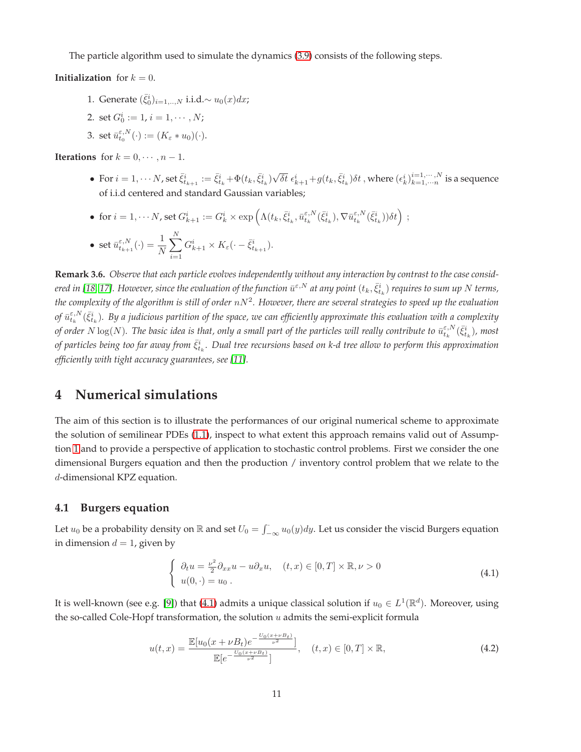The particle algorithm used to simulate the dynamics [\(3.9\)](#page-6-0) consists of the following steps.

**Initialization** for  $k = 0$ .

1. Generate  $(\bar{\xi}_0^i)_{i=1,..,N}$  i.i.d. $\sim u_0(x)dx$ ;

 $i=1$ 

- 2. set  $G_0^i := 1, i = 1, \cdots, N;$
- 3. set  $\bar{u}_{t_0}^{\varepsilon,N}(\cdot) := (K_{\varepsilon} * u_0)(\cdot).$

**Iterations** for  $k = 0, \dots, n - 1$ .

- For  $i=1,\cdots N$ , set  $\bar{\xi}^i_{t_{k+1}}:=\bar{\xi}^i_{t_k}+\Phi(t_k,\bar{\xi}^i_{t_k})\sqrt{\delta t}$   $\epsilon^i_{k+1}+g(t_k,\bar{\xi}^i_{t_k})\delta t$  , where  $(\epsilon^i_k)_{k=1,\cdots N}^{i=1,\cdots,N}$  is a sequence of i.i.d centered and standard Gaussian variables;
- for  $i=1,\cdots N$ , set  $G_{k+1}^i:=G_k^i\times \exp\left(\Lambda(t_k,\bar \xi_{t_k}^i,\bar u_{t_k}^{\varepsilon,N}(\bar \xi_{t_k}^i),\nabla\bar u_{t_k}^{\varepsilon,N}(\bar \xi_{t_k}^i))\delta t\right)\ ;$ • set  $\bar{u}_{t_{k+1}}^{\varepsilon,N}(\cdot) = \frac{1}{N}$  $\sum$ N  $G_{k+1}^i \times K_{\varepsilon}(\cdot - \bar{\xi}_{t_{k+1}}^i).$

**Remark 3.6.** *Observe that each particle evolves independently without any interaction by contrast to the case consid-*ered in [\[18,](#page-17-0) [17\]](#page-17-1). However, since the evaluation of the function  $\bar u^{\varepsilon,N}$  at any point  $(t_k,\bar\xi_{t_k}^i)$  requires to sum up  $N$  terms, the complexity of the algorithm is still of order  $nN^2$ . However, there are several strategies to speed up the evaluation of  $\bar{u}_{t_k}^{\varepsilon,N}(\bar{\xi}_{t_k}^i)$ . By a judicious partition of the space, we can efficiently approximate this evaluation with a complexity of order  $N\log(N)$ . The basic idea is that, only a small part of the particles will really contribute to  $\bar u_{t_k}^{\varepsilon,N}(\bar\xi_{t_k}^i)$ , most of particles being too far away from  $\bar{\xi}^i_{t_k}.$  Dual tree recursions based on k-d tree allow to perform this approximation *efficiently with tight accuracy guarantees, see [\[11\]](#page-16-10).*

### <span id="page-10-0"></span>**4 Numerical simulations**

The aim of this section is to illustrate the performances of our original numerical scheme to approximate the solution of semilinear PDEs [\(1.1\)](#page-0-0), inspect to what extent this approach remains valid out of Assumption [1](#page-3-0) and to provide a perspective of application to stochastic control problems. First we consider the one dimensional Burgers equation and then the production / inventory control problem that we relate to the d-dimensional KPZ equation.

#### **4.1 Burgers equation**

Let  $u_0$  be a probability density on  $\mathbb R$  and set  $U_0 = \int_{-\infty}^{\infty} u_0(y) dy$ . Let us consider the viscid Burgers equation in dimension  $d = 1$ , given by

<span id="page-10-1"></span>
$$
\begin{cases}\n\partial_t u = \frac{\nu^2}{2} \partial_{xx} u - u \partial_x u, & (t, x) \in [0, T] \times \mathbb{R}, \nu > 0 \\
u(0, \cdot) = u_0.\n\end{cases}
$$
\n(4.1)

It is well-known (see e.g. [\[9\]](#page-16-11)) that [\(4.1\)](#page-10-1) admits a unique classical solution if  $u_0 \in L^1(\mathbb{R}^d)$ . Moreover, using the so-called Cole-Hopf transformation, the solution  $u$  admits the semi-explicit formula

<span id="page-10-2"></span>
$$
u(t,x) = \frac{\mathbb{E}[u_0(x + \nu B_t)e^{-\frac{U_0(x + \nu B_t)}{\nu^2}}]}{\mathbb{E}[e^{-\frac{U_0(x + \nu B_t)}{\nu^2}}]}, \quad (t,x) \in [0,T] \times \mathbb{R},
$$
\n(4.2)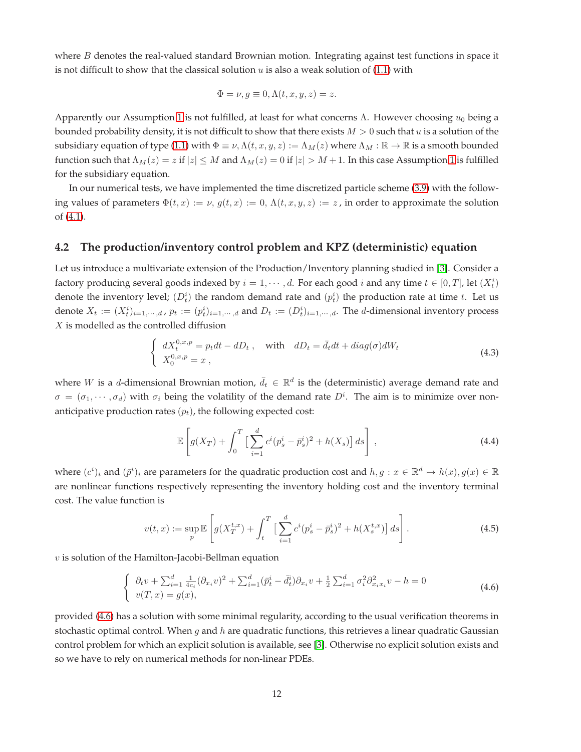where B denotes the real-valued standard Brownian motion. Integrating against test functions in space it is not difficult to show that the classical solution  $u$  is also a weak solution of [\(1.1\)](#page-0-0) with

$$
\Phi = \nu, g \equiv 0, \Lambda(t, x, y, z) = z.
$$

Apparently our Assumption [1](#page-3-0) is not fulfilled, at least for what concerns  $\Lambda$ . However choosing  $u_0$  being a bounded probability density, it is not difficult to show that there exists  $M > 0$  such that u is a solution of the subsidiary equation of type [\(1.1\)](#page-0-0) with  $\Phi \equiv \nu$ ,  $\Lambda(t, x, y, z) := \Lambda_M(z)$  where  $\Lambda_M : \mathbb{R} \to \mathbb{R}$  is a smooth bounded function such that  $\Lambda_M(z) = z$  if  $|z| \leq M$  and  $\Lambda_M(z) = 0$  if  $|z| > M + 1$  $|z| > M + 1$ . In this case Assumption 1 is fulfilled for the subsidiary equation.

In our numerical tests, we have implemented the time discretized particle scheme [\(3.9\)](#page-6-0) with the following values of parameters  $\Phi(t, x) := \nu$ ,  $g(t, x) := 0$ ,  $\Lambda(t, x, y, z) := z$ , in order to approximate the solution of [\(4.1\)](#page-10-1).

#### **4.2 The production/inventory control problem and KPZ (deterministic) equation**

Let us introduce a multivariate extension of the Production/Inventory planning studied in [\[3\]](#page-16-12). Consider a factory producing several goods indexed by  $i = 1, \dots, d$ . For each good  $i$  and any time  $t \in [0, T]$ , let  $(X_t^i)$ denote the inventory level;  $(D_t^i)$  the random demand rate and  $(p_t^i)$  the production rate at time t. Let us denote  $X_t := (X_t^i)_{i=1,\dots,d}$ ,  $p_t := (p_t^i)_{i=1,\dots,d}$  and  $D_t := (D_t^i)_{i=1,\dots,d}$ . The *d*-dimensional inventory process  $X$  is modelled as the controlled diffusion

<span id="page-11-1"></span>
$$
\begin{cases}\n dX_t^{0,x,p} = p_t dt - dD_t, \quad \text{with} \quad dD_t = \bar{d}_t dt + diag(\sigma) dW_t \\
 X_0^{0,x,p} = x,\n\end{cases} \tag{4.3}
$$

where W is a d-dimensional Brownian motion,  $\bar{d}_t \in \mathbb{R}^d$  is the (deterministic) average demand rate and  $\sigma = (\sigma_1, \dots, \sigma_d)$  with  $\sigma_i$  being the volatility of the demand rate  $D^i$ . The aim is to minimize over nonanticipative production rates  $(p_t)$ , the following expected cost:

$$
\mathbb{E}\left[g(X_T) + \int_0^T \left[\sum_{i=1}^d c^i (p_s^i - \bar{p}_s^i)^2 + h(X_s)\right] ds\right],
$$
\n(4.4)

where  $(c^i)_i$  and  $(\bar{p}^i)_i$  are parameters for the quadratic production cost and  $h, g: x \in \mathbb{R}^d \mapsto h(x), g(x) \in \mathbb{R}$ are nonlinear functions respectively representing the inventory holding cost and the inventory terminal cost. The value function is

<span id="page-11-2"></span>
$$
v(t,x) := \sup_{p} \mathbb{E}\left[g(X_T^{t,x}) + \int_t^T \left[\sum_{i=1}^d c^i (p_s^i - \bar{p}_s^i)^2 + h(X_s^{t,x})\right] ds\right].
$$
 (4.5)

 $v$  is solution of the Hamilton-Jacobi-Bellman equation

<span id="page-11-0"></span>
$$
\begin{cases} \partial_t v + \sum_{i=1}^d \frac{1}{4c_i} (\partial_{x_i} v)^2 + \sum_{i=1}^d (\bar{p}_t^i - \bar{d}_t^i) \partial_{x_i} v + \frac{1}{2} \sum_{i=1}^d \sigma_i^2 \partial_{x_i x_i}^2 v - h = 0\\ v(T, x) = g(x), \end{cases}
$$
(4.6)

provided [\(4.6\)](#page-11-0) has a solution with some minimal regularity, according to the usual verification theorems in stochastic optimal control. When g and h are quadratic functions, this retrieves a linear quadratic Gaussian control problem for which an explicit solution is available, see [\[3\]](#page-16-12). Otherwise no explicit solution exists and so we have to rely on numerical methods for non-linear PDEs.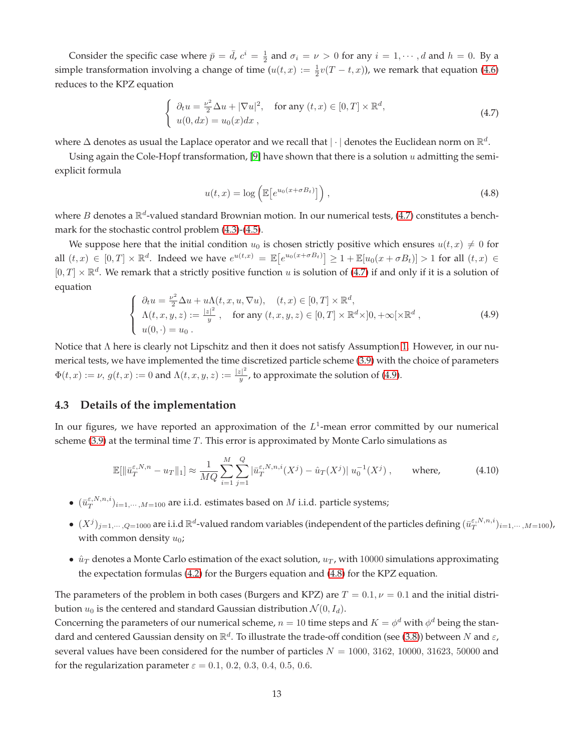Consider the specific case where  $\bar{p} = \bar{d}$ ,  $c^i = \frac{1}{2}$  and  $\sigma_i = \nu > 0$  for any  $i = 1, \dots, d$  and  $h = 0$ . By a simple transformation involving a change of time  $(u(t, x) := \frac{1}{2}v(T - t, x))$ , we remark that equation [\(4.6\)](#page-11-0) reduces to the KPZ equation

<span id="page-12-0"></span>
$$
\begin{cases} \n\partial_t u = \frac{\nu^2}{2} \Delta u + |\nabla u|^2, & \text{for any } (t, x) \in [0, T] \times \mathbb{R}^d, \\ \n u(0, dx) = u_0(x) dx, \n\end{cases} \tag{4.7}
$$

where  $\Delta$  denotes as usual the Laplace operator and we recall that  $|\cdot|$  denotes the Euclidean norm on  $\mathbb{R}^d$ .

Using again the Cole-Hopf transformation, [\[9\]](#page-16-11) have shown that there is a solution  $u$  admitting the semiexplicit formula

<span id="page-12-2"></span>
$$
u(t,x) = \log \left( \mathbb{E} \left[ e^{u_0(x + \sigma B_t)} \right] \right), \tag{4.8}
$$

where B denotes a  $\mathbb{R}^d$ -valued standard Brownian motion. In our numerical tests, [\(4.7\)](#page-12-0) constitutes a benchmark for the stochastic control problem [\(4.3\)](#page-11-1)-[\(4.5\)](#page-11-2).

We suppose here that the initial condition  $u_0$  is chosen strictly positive which ensures  $u(t, x) \neq 0$  for all  $(t, x) \in [0, T] \times \mathbb{R}^d$ . Indeed we have  $e^{u(t,x)} = \mathbb{E}\left[e^{u_0(x+\sigma B_t)}\right] \ge 1 + \mathbb{E}[u_0(x+\sigma B_t)] > 1$  for all  $(t, x) \in$  $[0,T] \times \mathbb{R}^d$ . We remark that a strictly positive function u is solution of [\(4.7\)](#page-12-0) if and only if it is a solution of equation

<span id="page-12-1"></span>
$$
\begin{cases}\n\partial_t u = \frac{\nu^2}{2} \Delta u + u \Lambda(t, x, u, \nabla u), & (t, x) \in [0, T] \times \mathbb{R}^d, \\
\Lambda(t, x, y, z) := \frac{|z|^2}{y}, & \text{for any } (t, x, y, z) \in [0, T] \times \mathbb{R}^d \times ]0, +\infty[\times \mathbb{R}^d,\n\end{cases} \tag{4.9}
$$

Notice that Λ here is clearly not Lipschitz and then it does not satisfy Assumption [1.](#page-3-0) However, in our numerical tests, we have implemented the time discretized particle scheme [\(3.9\)](#page-6-0) with the choice of parameters  $\Phi(t, x) := \nu, g(t, x) := 0$  and  $\Lambda(t, x, y, z) := \frac{|z|^2}{y}$  $\frac{z_{\parallel}}{y}$ , to approximate the solution of [\(4.9\)](#page-12-1).

#### **4.3 Details of the implementation**

In our figures, we have reported an approximation of the  $L^1$ -mean error committed by our numerical scheme  $(3.9)$  at the terminal time T. This error is approximated by Monte Carlo simulations as

<span id="page-12-3"></span>
$$
\mathbb{E}[\|\bar{u}_T^{\varepsilon,N,n} - u_T\|_1] \approx \frac{1}{MQ} \sum_{i=1}^M \sum_{j=1}^Q |\bar{u}_T^{\varepsilon,N,n,i}(X^j) - \hat{u}_T(X^j)| u_0^{-1}(X^j) , \quad \text{where,} \quad (4.10)
$$

- $(\bar{u}_T^{\varepsilon,N,n,i})_{i=1,\cdots,M=100}$  are i.i.d. estimates based on  $M$  i.i.d. particle systems;
- $\bullet$   $(X^{j})_{j=1,\cdots,Q=1000}$  are i.i.d  $\mathbb{R}^{d}$ -valued random variables (independent of the particles defining  $(\bar{u}_{T}^{\varepsilon,N,n,i})_{i=1,\cdots,M=100})$ , with common density  $u_0$ ;
- $\hat{u}_T$  denotes a Monte Carlo estimation of the exact solution,  $u_T$ , with 10000 simulations approximating the expectation formulas [\(4.2\)](#page-10-2) for the Burgers equation and [\(4.8\)](#page-12-2) for the KPZ equation.

The parameters of the problem in both cases (Burgers and KPZ) are  $T = 0.1$ ,  $\nu = 0.1$  and the initial distribution  $u_0$  is the centered and standard Gaussian distribution  $\mathcal{N}(0, I_d)$ .

Concerning the parameters of our numerical scheme,  $n = 10$  time steps and  $K = \phi^d$  with  $\phi^d$  being the standard and centered Gaussian density on  $\R^d$ . To illustrate the trade-off condition (see [\(3.8\)](#page-5-4)) between  $N$  and  $\varepsilon$ , several values have been considered for the number of particles  $N = 1000$ , 3162, 10000, 31623, 50000 and for the regularization parameter  $\varepsilon = 0.1, 0.2, 0.3, 0.4, 0.5, 0.6$ .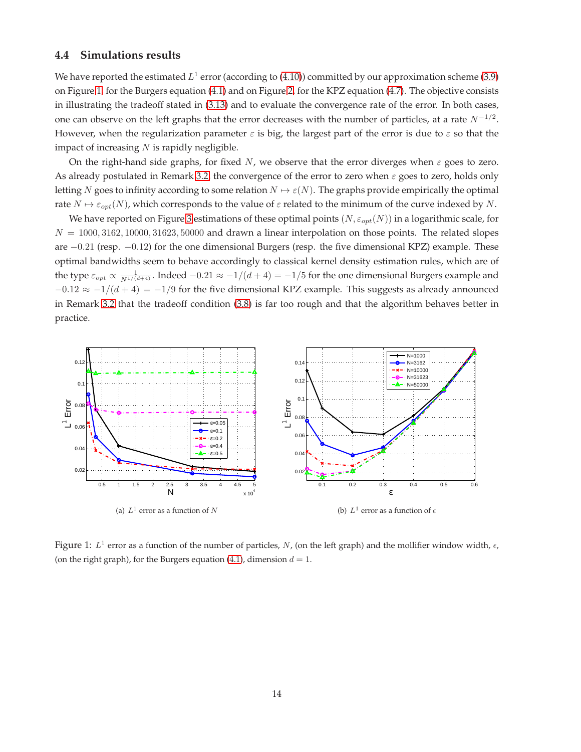#### **4.4 Simulations results**

We have reported the estimated  $L^1$  error (according to [\(4.10\)](#page-12-3)) committed by our approximation scheme [\(3.9\)](#page-6-0) on Figure [1,](#page-13-0) for the Burgers equation [\(4.1\)](#page-10-1) and on Figure [2,](#page-14-0) for the KPZ equation [\(4.7\)](#page-12-0). The objective consists in illustrating the tradeoff stated in [\(3.13\)](#page-6-5) and to evaluate the convergence rate of the error. In both cases, one can observe on the left graphs that the error decreases with the number of particles, at a rate  $N^{-1/2}$ . However, when the regularization parameter  $\varepsilon$  is big, the largest part of the error is due to  $\varepsilon$  so that the impact of increasing  $N$  is rapidly negligible.

On the right-hand side graphs, for fixed N, we observe that the error diverges when  $\varepsilon$  goes to zero. As already postulated in Remark [3.2,](#page-5-5) the convergence of the error to zero when  $\varepsilon$  goes to zero, holds only letting N goes to infinity according to some relation  $N \mapsto \varepsilon(N)$ . The graphs provide empirically the optimal rate  $N \mapsto \varepsilon_{opt}(N)$ , which corresponds to the value of  $\varepsilon$  related to the minimum of the curve indexed by N.

We have reported on Figure [3](#page-14-1) estimations of these optimal points  $(N, \varepsilon_{opt}(N))$  in a logarithmic scale, for  $N = 1000, 3162, 10000, 31623, 50000$  and drawn a linear interpolation on those points. The related slopes are −0.21 (resp. −0.12) for the one dimensional Burgers (resp. the five dimensional KPZ) example. These optimal bandwidths seem to behave accordingly to classical kernel density estimation rules, which are of the type  $\varepsilon_{opt} \propto \frac{1}{N^{1/(d+4)}}$ . Indeed  $-0.21 \approx -1/(d+4) = -1/5$  for the one dimensional Burgers example and  $-0.12 \approx -1/(d+4) = -1/9$  for the five dimensional KPZ example. This suggests as already announced in Remark [3.2](#page-5-5) that the tradeoff condition [\(3.8\)](#page-5-4) is far too rough and that the algorithm behaves better in practice.

<span id="page-13-0"></span>

Figure 1:  $L^1$  error as a function of the number of particles, N, (on the left graph) and the mollifier window width,  $\epsilon$ , (on the right graph), for the Burgers equation [\(4.1\)](#page-10-1), dimension  $d = 1$ .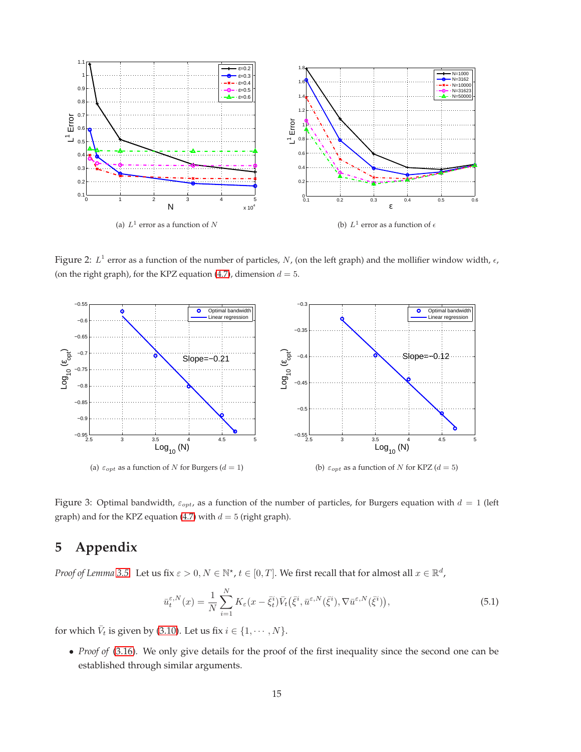<span id="page-14-0"></span>

<span id="page-14-1"></span>Figure 2:  $L^1$  error as a function of the number of particles, N, (on the left graph) and the mollifier window width,  $\epsilon$ , (on the right graph), for the KPZ equation [\(4.7\)](#page-12-0), dimension  $d = 5$ .



Figure 3: Optimal bandwidth,  $\varepsilon_{opt}$ , as a function of the number of particles, for Burgers equation with  $d = 1$  (left graph) and for the KPZ equation [\(4.7\)](#page-12-0) with  $d = 5$  (right graph).

# **5 Appendix**

*Proof of Lemma* [3.5.](#page-7-6) Let us fix  $\varepsilon > 0, N \in \mathbb{N}^*$ ,  $t \in [0, T]$ . We first recall that for almost all  $x \in \mathbb{R}^d$ ,

<span id="page-14-2"></span>
$$
\bar{u}_{t}^{\varepsilon,N}(x) = \frac{1}{N} \sum_{i=1}^{N} K_{\varepsilon}(x - \bar{\xi}_{t}^{i}) \bar{V}_{t}(\bar{\xi}^{i}, \bar{u}^{\varepsilon,N}(\bar{\xi}^{i}), \nabla \bar{u}^{\varepsilon,N}(\bar{\xi}^{i})), \tag{5.1}
$$

for which  $\bar{V}_t$  is given by [\(3.10\)](#page-6-7). Let us fix  $i \in \{1, \cdots, N\}$ .

• *Proof of* [\(3.16\)](#page-7-3)*.* We only give details for the proof of the first inequality since the second one can be established through similar arguments.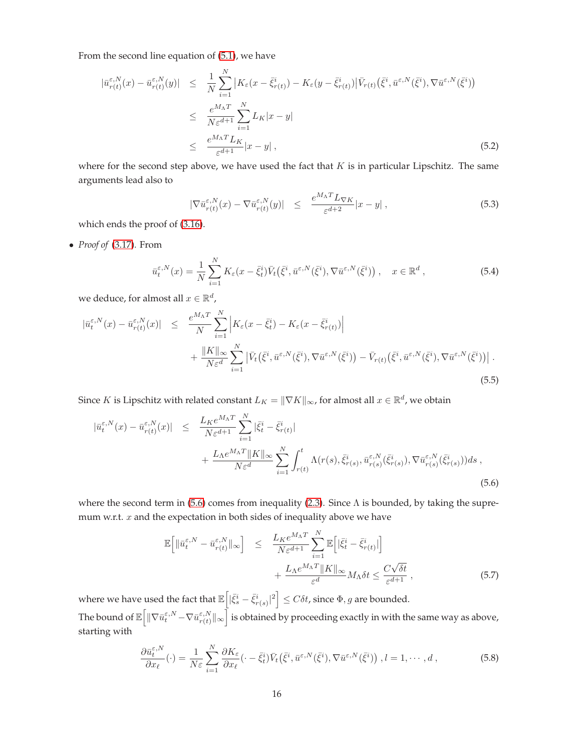From the second line equation of [\(5.1\)](#page-14-2), we have

$$
\begin{split} |\bar{u}_{r(t)}^{\varepsilon,N}(x) - \bar{u}_{r(t)}^{\varepsilon,N}(y)| &\leq \frac{1}{N} \sum_{i=1}^{N} \left| K_{\varepsilon}(x - \bar{\xi}_{r(t)}^{i}) - K_{\varepsilon}(y - \bar{\xi}_{r(t)}^{i}) \right| \bar{V}_{r(t)}(\bar{\xi}^{i}, \bar{u}^{\varepsilon,N}(\bar{\xi}^{i}), \nabla \bar{u}^{\varepsilon,N}(\bar{\xi}^{i})) \\ &\leq \frac{e^{M_{\Lambda}T}}{N \varepsilon^{d+1}} \sum_{i=1}^{N} L_{K} |x - y| \\ &\leq \frac{e^{M_{\Lambda}T} L_{K}}{\varepsilon^{d+1}} |x - y| \,, \end{split} \tag{5.2}
$$

where for the second step above, we have used the fact that  $K$  is in particular Lipschitz. The same arguments lead also to

$$
|\nabla \bar{u}_{r(t)}^{\varepsilon,N}(x) - \nabla \bar{u}_{r(t)}^{\varepsilon,N}(y)| \leq \frac{e^{M_{\Lambda}T} L_{\nabla K}}{\varepsilon^{d+2}} |x - y| , \qquad (5.3)
$$

which ends the proof of [\(3.16\)](#page-7-3).

• *Proof of* [\(3.17\)](#page-7-4)*.* From

<span id="page-15-1"></span>
$$
\bar{u}_{t}^{\varepsilon,N}(x) = \frac{1}{N} \sum_{i=1}^{N} K_{\varepsilon}(x - \bar{\xi}_{t}^{i}) \bar{V}_{t}(\bar{\xi}^{i}, \bar{u}^{\varepsilon,N}(\bar{\xi}^{i}), \nabla \bar{u}^{\varepsilon,N}(\bar{\xi}^{i})) , \quad x \in \mathbb{R}^{d}, \tag{5.4}
$$

we deduce, for almost all  $x \in \mathbb{R}^d$ ,

$$
\begin{split} |\bar{u}_{t}^{\varepsilon,N}(x) - \bar{u}_{r(t)}^{\varepsilon,N}(x)| &\leq \frac{e^{M_{\Lambda}T}}{N} \sum_{i=1}^{N} \left| K_{\varepsilon}(x - \bar{\xi}_{t}^{i}) - K_{\varepsilon}(x - \bar{\xi}_{r(t)}^{i}) \right| \\ &+ \frac{\|K\|_{\infty}}{N \varepsilon^{d}} \sum_{i=1}^{N} \left| \bar{V}_{t}(\bar{\xi}^{i}, \bar{u}^{\varepsilon,N}(\bar{\xi}^{i}), \nabla \bar{u}^{\varepsilon,N}(\bar{\xi}^{i})) - \bar{V}_{r(t)}(\bar{\xi}^{i}, \bar{u}^{\varepsilon,N}(\bar{\xi}^{i}), \nabla \bar{u}^{\varepsilon,N}(\bar{\xi}^{i})) \right|. \end{split} \tag{5.5}
$$

Since K is Lipschitz with related constant  $L_K = ||\nabla K||_{\infty}$ , for almost all  $x \in \mathbb{R}^d$ , we obtain

<span id="page-15-0"></span>
$$
\begin{split} |\bar{u}_{t}^{\varepsilon,N}(x) - \bar{u}_{r(t)}^{\varepsilon,N}(x)| &\leq \frac{L_{K}e^{M_{\Lambda}T}}{N\varepsilon^{d+1}} \sum_{i=1}^{N} |\bar{\xi}_{t}^{i} - \bar{\xi}_{r(t)}^{i}| \\ &+ \frac{L_{\Lambda}e^{M_{\Lambda}T} \|K\|_{\infty}}{N\varepsilon^{d}} \sum_{i=1}^{N} \int_{r(t)}^{t} \Lambda(r(s), \bar{\xi}_{r(s)}^{i}, \bar{u}_{r(s)}^{\varepsilon,N}(\bar{\xi}_{r(s)}^{i}), \nabla \bar{u}_{r(s)}^{\varepsilon,N}(\bar{\xi}_{r(s)}^{i})) ds \;, \end{split} \tag{5.6}
$$

where the second term in [\(5.6\)](#page-15-0) comes from inequality [\(2.3\)](#page-3-1). Since  $\Lambda$  is bounded, by taking the supremum w.r.t.  $x$  and the expectation in both sides of inequality above we have

$$
\mathbb{E}\left[\|\bar{u}_{t}^{\varepsilon,N} - \bar{u}_{r(t)}^{\varepsilon,N}\|_{\infty}\right] \leq \frac{L_{K}e^{M_{\Lambda}T}}{N\varepsilon^{d+1}} \sum_{i=1}^{N} \mathbb{E}\left[|\bar{\xi}_{t}^{i} - \bar{\xi}_{r(t)}^{i}|\right] + \frac{L_{\Lambda}e^{M_{\Lambda}T} \|K\|_{\infty}}{\varepsilon^{d}} M_{\Lambda} \delta t \leq \frac{C\sqrt{\delta t}}{\varepsilon^{d+1}},
$$
\n(5.7)

where we have used the fact that  $\mathbb{E}\left[|\bar{\xi}_s^i - \bar{\xi}_{r(s)}^i|^2\right] \leq C \delta t$ , since  $\Phi, g$  are bounded. The bound of  $\mathbb{E}\Big[\|\nabla\bar{u}_{t}^{\varepsilon,N}\!-\!\nabla\bar{u}_{r(t)}^{\varepsilon,N}\|$  $\left\lceil \frac{\varepsilon,N}{r(t)} \right\rceil \otimes \left\lceil \frac{\varepsilon,N}{r(t)} \right\rceil$  is obtained by proceeding exactly in with the same way as above, starting with

$$
\frac{\partial \bar{u}_{t}^{\varepsilon,N}}{\partial x_{\ell}}(\cdot) = \frac{1}{N\varepsilon} \sum_{i=1}^{N} \frac{\partial K_{\varepsilon}}{\partial x_{\ell}} (\cdot - \bar{\xi}_{t}^{i}) \bar{V}_{t}(\bar{\xi}^{i}, \bar{u}^{\varepsilon,N}(\bar{\xi}^{i}), \nabla \bar{u}^{\varepsilon,N}(\bar{\xi}^{i})) , l = 1, \cdots, d , \qquad (5.8)
$$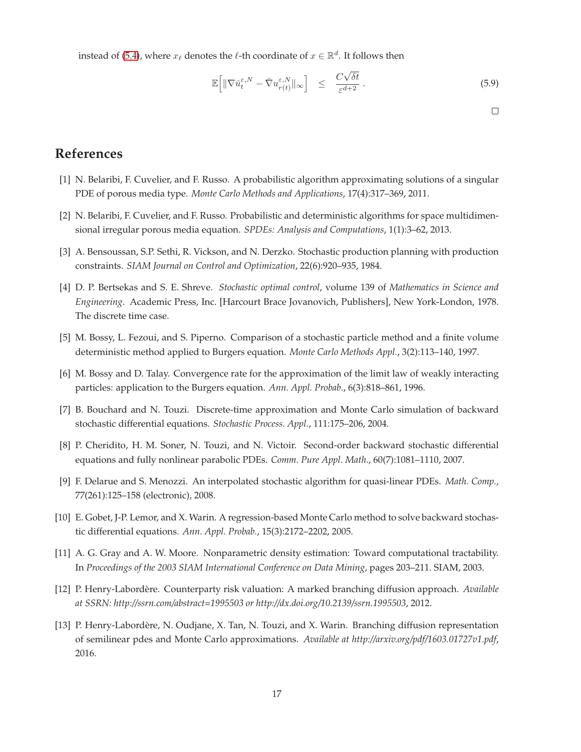instead of [\(5.4\)](#page-15-1), where  $x_\ell$  denotes the  $\ell$ -th coordinate of  $x \in \mathbb{R}^d$ . It follows then

$$
\mathbb{E}\left[\|\nabla \bar{u}_t^{\varepsilon,N} - \bar{\nabla} u_{r(t)}^{\varepsilon,N}\|_{\infty}\right] \leq \frac{C\sqrt{\delta t}}{\varepsilon^{d+2}}.
$$
\n(5.9)

 $\Box$ 

# <span id="page-16-7"></span>**References**

- <span id="page-16-8"></span>[1] N. Belaribi, F. Cuvelier, and F. Russo. A probabilistic algorithm approximating solutions of a singular PDE of porous media type. *Monte Carlo Methods and Applications*, 17(4):317–369, 2011.
- <span id="page-16-12"></span>[2] N. Belaribi, F. Cuvelier, and F. Russo. Probabilistic and deterministic algorithms for space multidimensional irregular porous media equation. *SPDEs: Analysis and Computations*, 1(1):3–62, 2013.
- <span id="page-16-9"></span>[3] A. Bensoussan, S.P. Sethi, R. Vickson, and N. Derzko. Stochastic production planning with production constraints. *SIAM Journal on Control and Optimization*, 22(6):920–935, 1984.
- [4] D. P. Bertsekas and S. E. Shreve. *Stochastic optimal control*, volume 139 of *Mathematics in Science and Engineering*. Academic Press, Inc. [Harcourt Brace Jovanovich, Publishers], New York-London, 1978. The discrete time case.
- <span id="page-16-6"></span><span id="page-16-5"></span>[5] M. Bossy, L. Fezoui, and S. Piperno. Comparison of a stochastic particle method and a finite volume deterministic method applied to Burgers equation. *Monte Carlo Methods Appl.*, 3(2):113–140, 1997.
- <span id="page-16-0"></span>[6] M. Bossy and D. Talay. Convergence rate for the approximation of the limit law of weakly interacting particles: application to the Burgers equation. *Ann. Appl. Probab.*, 6(3):818–861, 1996.
- <span id="page-16-2"></span>[7] B. Bouchard and N. Touzi. Discrete-time approximation and Monte Carlo simulation of backward stochastic differential equations. *Stochastic Process. Appl.*, 111:175–206, 2004.
- <span id="page-16-11"></span>[8] P. Cheridito, H. M. Soner, N. Touzi, and N. Victoir. Second-order backward stochastic differential equations and fully nonlinear parabolic PDEs. *Comm. Pure Appl. Math.*, 60(7):1081–1110, 2007.
- <span id="page-16-1"></span>[9] F. Delarue and S. Menozzi. An interpolated stochastic algorithm for quasi-linear PDEs. *Math. Comp.*, 77(261):125–158 (electronic), 2008.
- <span id="page-16-10"></span>[10] E. Gobet, J-P. Lemor, and X. Warin. A regression-based Monte Carlo method to solve backward stochastic differential equations. *Ann. Appl. Probab.*, 15(3):2172–2202, 2005.
- <span id="page-16-3"></span>[11] A. G. Gray and A. W. Moore. Nonparametric density estimation: Toward computational tractability. In *Proceedings of the 2003 SIAM International Conference on Data Mining*, pages 203–211. SIAM, 2003.
- <span id="page-16-4"></span>[12] P. Henry-Labordère. Counterparty risk valuation: A marked branching diffusion approach. *Available at SSRN: http://ssrn.com/abstract=1995503 or http://dx.doi.org/10.2139/ssrn.1995503*, 2012.
- [13] P. Henry-Labordère, N. Oudjane, X. Tan, N. Touzi, and X. Warin. Branching diffusion representation of semilinear pdes and Monte Carlo approximations. *Available at http://arxiv.org/pdf/1603.01727v1.pdf*, 2016.